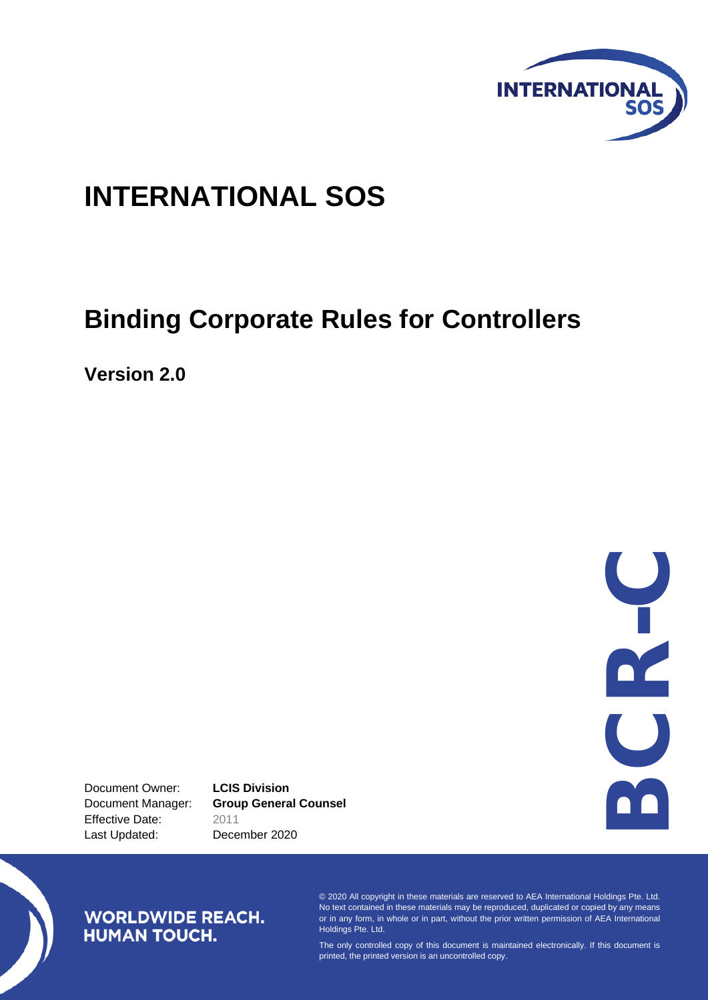

# **INTERNATIONAL SOS**

# **Binding Corporate Rules for Controllers**

**Version 2.0**

DC<br>DC<br>DC - C

Document Owner: **LCIS Division** Effective Date: 2011 Last Updated: December 2020

Document Manager: **Group General Counsel**

# **WORLDWIDE REACH. HUMAN TOUCH.**

© 2020 All copyright in these materials are reserved to AEA International Holdings Pte. Ltd. No text contained in these materials may be reproduced, duplicated or copied by any means or in any form, in whole or in part, without the prior written permission of AEA International Holdings Pte. Ltd.

The only controlled copy of this document is maintained electronically. If this document is printed, the printed version is an uncontrolled copy.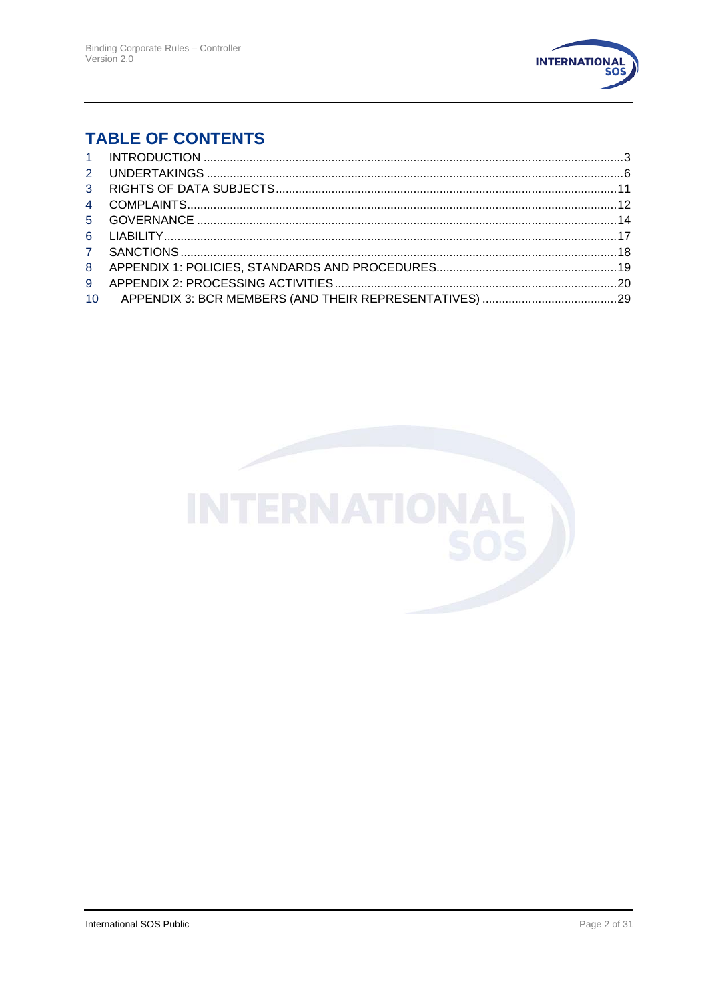

# **TABLE OF CONTENTS**

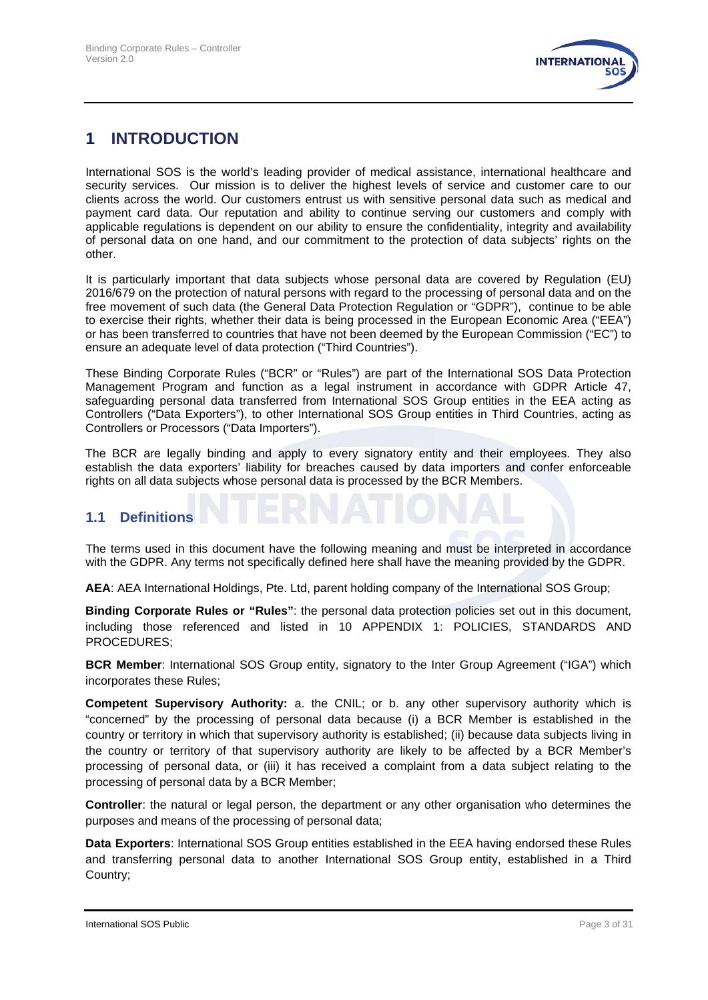

# **1 INTRODUCTION**

International SOS is the world's leading provider of medical assistance, international healthcare and security services. Our mission is to deliver the highest levels of service and customer care to our clients across the world. Our customers entrust us with sensitive personal data such as medical and payment card data. Our reputation and ability to continue serving our customers and comply with applicable regulations is dependent on our ability to ensure the confidentiality, integrity and availability of personal data on one hand, and our commitment to the protection of data subjects' rights on the other.

It is particularly important that data subjects whose personal data are covered by Regulation (EU) 2016/679 on the protection of natural persons with regard to the processing of personal data and on the free movement of such data (the General Data Protection Regulation or "GDPR"), continue to be able to exercise their rights, whether their data is being processed in the European Economic Area ("EEA") or has been transferred to countries that have not been deemed by the European Commission ("EC") to ensure an adequate level of data protection ("Third Countries").

These Binding Corporate Rules ("BCR" or "Rules") are part of the International SOS Data Protection Management Program and function as a legal instrument in accordance with GDPR Article 47, safeguarding personal data transferred from International SOS Group entities in the EEA acting as Controllers ("Data Exporters"), to other International SOS Group entities in Third Countries, acting as Controllers or Processors ("Data Importers").

The BCR are legally binding and apply to every signatory entity and their employees. They also establish the data exporters' liability for breaches caused by data importers and confer enforceable rights on all data subjects whose personal data is processed by the BCR Members.

#### **1.1 Definitions**

The terms used in this document have the following meaning and must be interpreted in accordance with the GDPR. Any terms not specifically defined here shall have the meaning provided by the GDPR.

**AEA**: AEA International Holdings, Pte. Ltd, parent holding company of the International SOS Group;

**Binding Corporate Rules or "Rules"**: the personal data protection policies set out in this document, including those referenced and listed in 10 APPENDIX 1: POLICIES, STANDARDS AND PROCEDURES;

**BCR Member**: International SOS Group entity, signatory to the Inter Group Agreement ("IGA") which incorporates these Rules;

**Competent Supervisory Authority:** a. the CNIL; or b. any other supervisory authority which is "concerned" by the processing of personal data because (i) a BCR Member is established in the country or territory in which that supervisory authority is established; (ii) because data subjects living in the country or territory of that supervisory authority are likely to be affected by a BCR Member's processing of personal data, or (iii) it has received a complaint from a data subject relating to the processing of personal data by a BCR Member;

**Controller**: the natural or legal person, the department or any other organisation who determines the purposes and means of the processing of personal data;

**Data Exporters**: International SOS Group entities established in the EEA having endorsed these Rules and transferring personal data to another International SOS Group entity, established in a Third Country;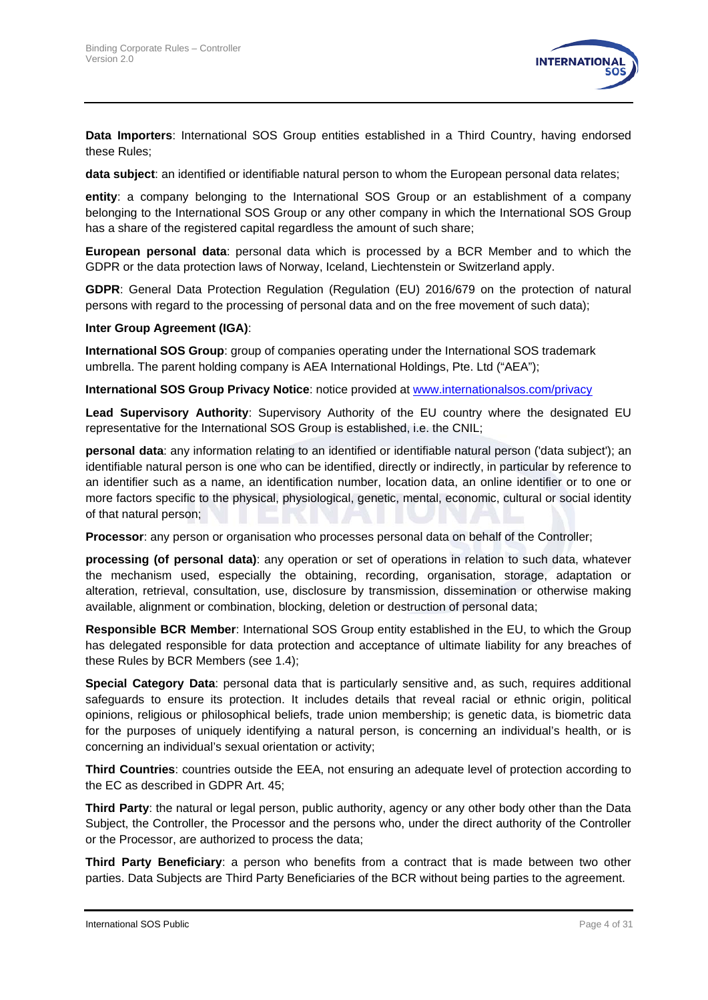

**Data Importers**: International SOS Group entities established in a Third Country, having endorsed these Rules;

**data subject**: an identified or identifiable natural person to whom the European personal data relates;

**entity**: a company belonging to the International SOS Group or an establishment of a company belonging to the International SOS Group or any other company in which the International SOS Group has a share of the registered capital regardless the amount of such share;

**European personal data**: personal data which is processed by a BCR Member and to which the GDPR or the data protection laws of Norway, Iceland, Liechtenstein or Switzerland apply.

**GDPR**: General Data Protection Regulation (Regulation (EU) 2016/679 on the protection of natural persons with regard to the processing of personal data and on the free movement of such data);

#### **Inter Group Agreement (IGA)**:

**International SOS Group**: group of companies operating under the International SOS trademark umbrella. The parent holding company is AEA International Holdings, Pte. Ltd ("AEA");

**International SOS Group Privacy Notice**: notice provided at [www.internationalsos.com/privacy](http://www.internationalsos.com/privacy)

**Lead Supervisory Authority**: Supervisory Authority of the EU country where the designated EU representative for the International SOS Group is established, i.e. the CNIL;

**personal data**: any information relating to an identified or identifiable natural person ('data subject'); an identifiable natural person is one who can be identified, directly or indirectly, in particular by reference to an identifier such as a name, an identification number, location data, an online identifier or to one or more factors specific to the physical, physiological, genetic, mental, economic, cultural or social identity of that natural person;

**Processor**: any person or organisation who processes personal data on behalf of the Controller;

**processing (of personal data)**: any operation or set of operations in relation to such data, whatever the mechanism used, especially the obtaining, recording, organisation, storage, adaptation or alteration, retrieval, consultation, use, disclosure by transmission, dissemination or otherwise making available, alignment or combination, blocking, deletion or destruction of personal data;

**Responsible BCR Member**: International SOS Group entity established in the EU, to which the Group has delegated responsible for data protection and acceptance of ultimate liability for any breaches of these Rules by BCR Members (see [1.4\)](#page-4-0);

**Special Category Data**: personal data that is particularly sensitive and, as such, requires additional safeguards to ensure its protection. It includes details that reveal racial or ethnic origin, political opinions, religious or philosophical beliefs, trade union membership; is genetic data, is biometric data for the purposes of uniquely identifying a natural person, is concerning an individual's health, or is concerning an individual's sexual orientation or activity;

**Third Countries**: countries outside the EEA, not ensuring an adequate level of protection according to the EC as described in GDPR Art. 45;

**Third Party**: the natural or legal person, public authority, agency or any other body other than the Data Subject, the Controller, the Processor and the persons who, under the direct authority of the Controller or the Processor, are authorized to process the data;

**Third Party Beneficiary**: a person who benefits from a contract that is made between two other parties. Data Subjects are Third Party Beneficiaries of the BCR without being parties to the agreement.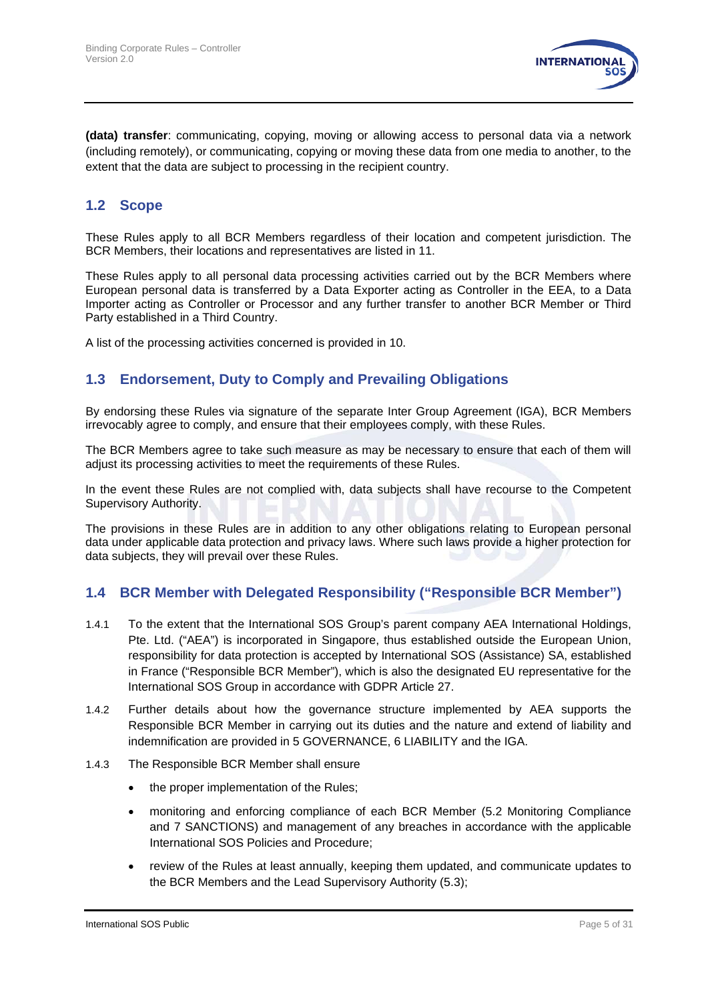

**(data) transfer**: communicating, copying, moving or allowing access to personal data via a network (including remotely), or communicating, copying or moving these data from one media to another, to the extent that the data are subject to processing in the recipient country.

#### **1.2 Scope**

These Rules apply to all BCR Members regardless of their location and competent jurisdiction. The BCR Members, their locations and representatives are listed in [11.](#page-28-0)

These Rules apply to all personal data processing activities carried out by the BCR Members where European personal data is transferred by a Data Exporter acting as Controller in the EEA, to a Data Importer acting as Controller or Processor and any further transfer to another BCR Member or Third Party established in a Third Country.

A list of the processing activities concerned is provided in [10.](#page-19-0)

### **1.3 Endorsement, Duty to Comply and Prevailing Obligations**

By endorsing these Rules via signature of the separate Inter Group Agreement (IGA), BCR Members irrevocably agree to comply, and ensure that their employees comply, with these Rules.

The BCR Members agree to take such measure as may be necessary to ensure that each of them will adjust its processing activities to meet the requirements of these Rules.

In the event these Rules are not complied with, data subjects shall have recourse to the Competent Supervisory Authority.

The provisions in these Rules are in addition to any other obligations relating to European personal data under applicable data protection and privacy laws. Where such laws provide a higher protection for data subjects, they will prevail over these Rules.

#### <span id="page-4-0"></span>**1.4 BCR Member with Delegated Responsibility ("Responsible BCR Member")**

- 1.4.1 To the extent that the International SOS Group's parent company AEA International Holdings, Pte. Ltd. ("AEA") is incorporated in Singapore, thus established outside the European Union, responsibility for data protection is accepted by International SOS (Assistance) SA, established in France ("Responsible BCR Member"), which is also the designated EU representative for the International SOS Group in accordance with GDPR Article 27.
- 1.4.2 Further details about how the governance structure implemented by AEA supports the Responsible BCR Member in carrying out its duties and the nature and extend of liability and indemnification are provided in 5 GOVERNANCE, [6](#page-16-0) [LIABILITY](#page-16-0) and the IGA.
- 1.4.3 The Responsible BCR Member shall ensure
	- the proper implementation of the Rules:
	- monitoring and enforcing compliance of each BCR Member [\(5.2](#page-14-0) [Monitoring Compliance](#page-14-0) and [7](#page-17-0) [SANCTIONS\)](#page-17-0) and management of any breaches in accordance with the applicable International SOS Policies and Procedure;
	- review of the Rules at least annually, keeping them updated, and communicate updates to the BCR Members and the Lead Supervisory Authority [\(5.3\)](#page-16-1);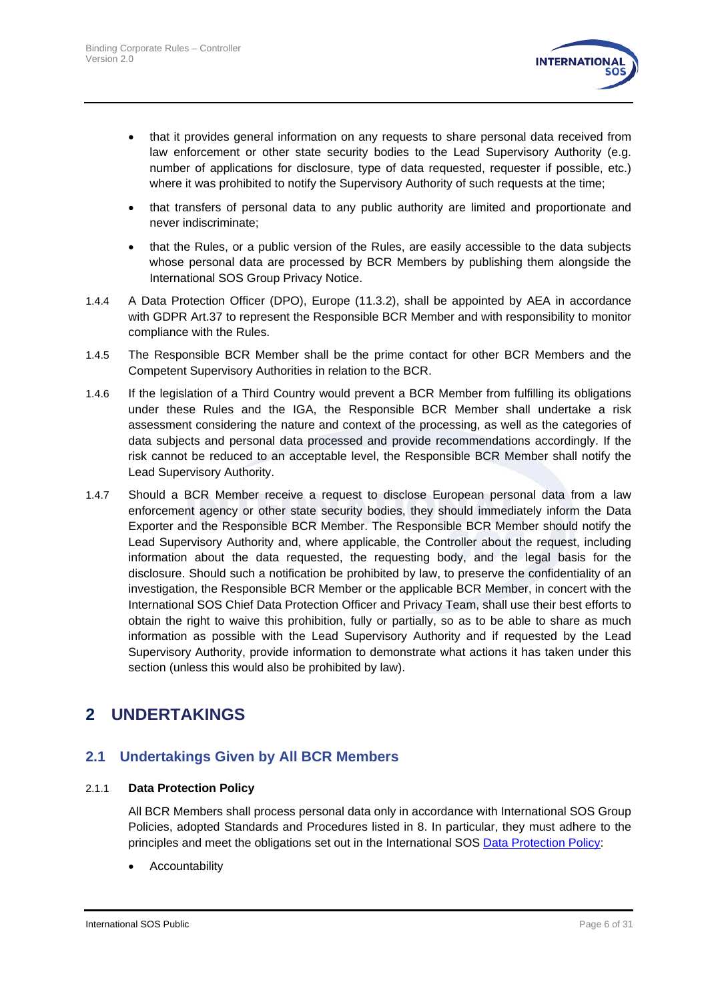

- that it provides general information on any requests to share personal data received from law enforcement or other state security bodies to the Lead Supervisory Authority (e.g. number of applications for disclosure, type of data requested, requester if possible, etc.) where it was prohibited to notify the Supervisory Authority of such requests at the time;
- that transfers of personal data to any public authority are limited and proportionate and never indiscriminate;
- that the Rules, or a public version of the Rules, are easily accessible to the data subjects whose personal data are processed by BCR Members by publishing them alongside the International SOS Group Privacy Notice.
- 1.4.4 A Data Protection Officer (DPO), Europe [\(11.3.2\)](#page-28-1), shall be appointed by AEA in accordance with GDPR Art.37 to represent the Responsible BCR Member and with responsibility to monitor compliance with the Rules.
- 1.4.5 The Responsible BCR Member shall be the prime contact for other BCR Members and the Competent Supervisory Authorities in relation to the BCR.
- 1.4.6 If the legislation of a Third Country would prevent a BCR Member from fulfilling its obligations under these Rules and the IGA, the Responsible BCR Member shall undertake a risk assessment considering the nature and context of the processing, as well as the categories of data subjects and personal data processed and provide recommendations accordingly. If the risk cannot be reduced to an acceptable level, the Responsible BCR Member shall notify the Lead Supervisory Authority.
- 1.4.7 Should a BCR Member receive a request to disclose European personal data from a law enforcement agency or other state security bodies, they should immediately inform the Data Exporter and the Responsible BCR Member. The Responsible BCR Member should notify the Lead Supervisory Authority and, where applicable, the Controller about the request, including information about the data requested, the requesting body, and the legal basis for the disclosure. Should such a notification be prohibited by law, to preserve the confidentiality of an investigation, the Responsible BCR Member or the applicable BCR Member, in concert with the International SOS Chief Data Protection Officer and Privacy Team, shall use their best efforts to obtain the right to waive this prohibition, fully or partially, so as to be able to share as much information as possible with the Lead Supervisory Authority and if requested by the Lead Supervisory Authority, provide information to demonstrate what actions it has taken under this section (unless this would also be prohibited by law).

# **2 UNDERTAKINGS**

## **2.1 Undertakings Given by All BCR Members**

#### 2.1.1 **Data Protection Policy**

All BCR Members shall process personal data only in accordance with International SOS Group Policies, adopted Standards and Procedures listed in [8.](#page-18-0) In particular, they must adhere to the principles and meet the obligations set out in the International SOS [Data Protection Policy:](https://www.internationalsos.com/-/media/corporate/files/documents/policies/policy_dataprotection.pdf)

**Accountability**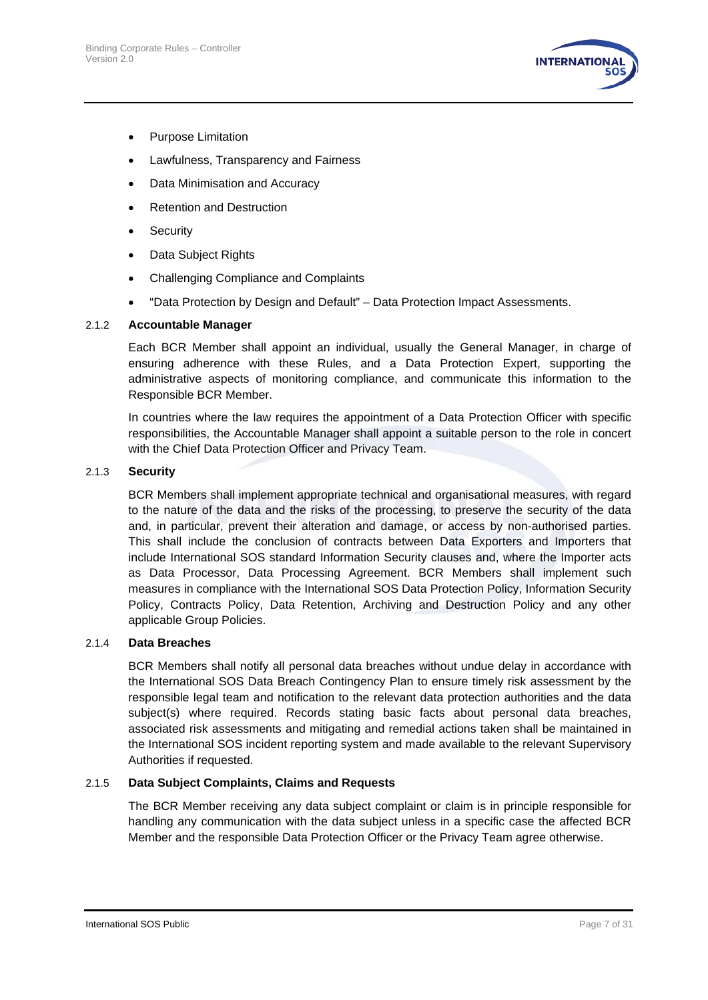

- Purpose Limitation
- Lawfulness, Transparency and Fairness
- Data Minimisation and Accuracy
- Retention and Destruction
- **Security**
- Data Subject Rights
- Challenging Compliance and Complaints
- "Data Protection by Design and Default" Data Protection Impact Assessments.

#### 2.1.2 **Accountable Manager**

Each BCR Member shall appoint an individual, usually the General Manager, in charge of ensuring adherence with these Rules, and a Data Protection Expert, supporting the administrative aspects of monitoring compliance, and communicate this information to the Responsible BCR Member.

In countries where the law requires the appointment of a Data Protection Officer with specific responsibilities, the Accountable Manager shall appoint a suitable person to the role in concert with the Chief Data Protection Officer and Privacy Team.

#### <span id="page-6-0"></span>2.1.3 **Security**

BCR Members shall implement appropriate technical and organisational measures, with regard to the nature of the data and the risks of the processing, to preserve the security of the data and, in particular, prevent their alteration and damage, or access by non-authorised parties. This shall include the conclusion of contracts between Data Exporters and Importers that include International SOS standard Information Security clauses and, where the Importer acts as Data Processor, Data Processing Agreement. BCR Members shall implement such measures in compliance with the International SOS Data Protection Policy, Information Security Policy, Contracts Policy, Data Retention, Archiving and Destruction Policy and any other applicable Group Policies.

#### <span id="page-6-1"></span>2.1.4 **Data Breaches**

BCR Members shall notify all personal data breaches without undue delay in accordance with the International SOS Data Breach Contingency Plan to ensure timely risk assessment by the responsible legal team and notification to the relevant data protection authorities and the data subject(s) where required. Records stating basic facts about personal data breaches, associated risk assessments and mitigating and remedial actions taken shall be maintained in the International SOS incident reporting system and made available to the relevant Supervisory Authorities if requested.

#### 2.1.5 **Data Subject Complaints, Claims and Requests**

The BCR Member receiving any data subject complaint or claim is in principle responsible for handling any communication with the data subject unless in a specific case the affected BCR Member and the responsible Data Protection Officer or the Privacy Team agree otherwise.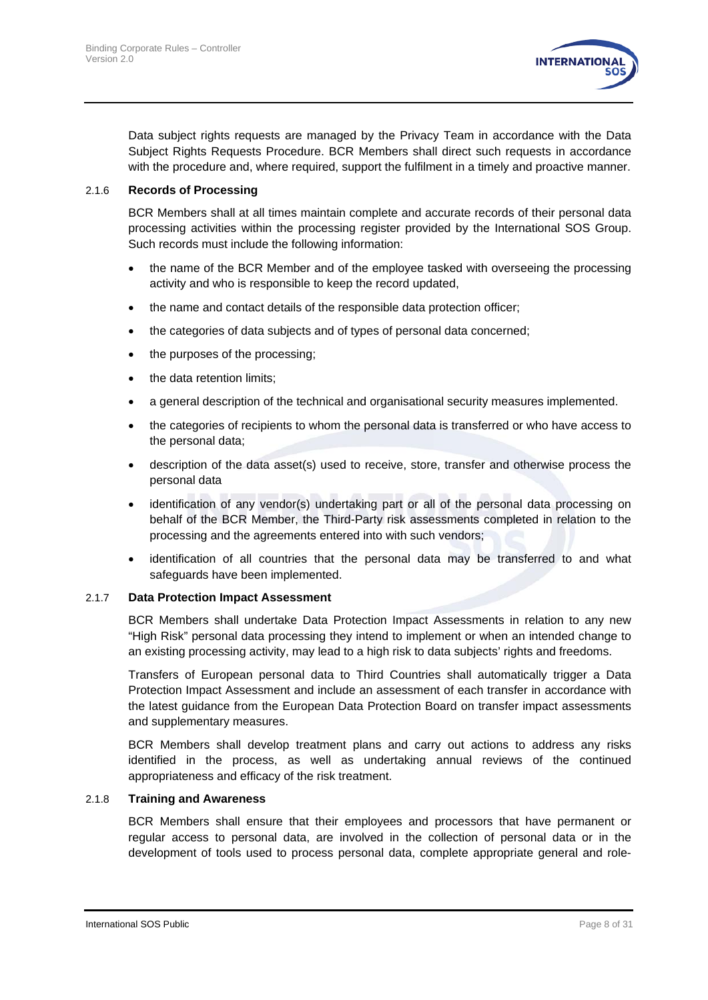

Data subject rights requests are managed by the Privacy Team in accordance with the Data Subject Rights Requests Procedure. BCR Members shall direct such requests in accordance with the procedure and, where required, support the fulfilment in a timely and proactive manner.

#### 2.1.6 **Records of Processing**

BCR Members shall at all times maintain complete and accurate records of their personal data processing activities within the processing register provided by the International SOS Group. Such records must include the following information:

- the name of the BCR Member and of the employee tasked with overseeing the processing activity and who is responsible to keep the record updated,
- the name and contact details of the responsible data protection officer;
- the categories of data subjects and of types of personal data concerned;
- the purposes of the processing;
- the data retention limits:
- a general description of the technical and organisational security measures implemented.
- the categories of recipients to whom the personal data is transferred or who have access to the personal data;
- description of the data asset(s) used to receive, store, transfer and otherwise process the personal data
- identification of any vendor(s) undertaking part or all of the personal data processing on behalf of the BCR Member, the Third-Party risk assessments completed in relation to the processing and the agreements entered into with such vendors;
- identification of all countries that the personal data may be transferred to and what safeguards have been implemented.

#### 2.1.7 **Data Protection Impact Assessment**

BCR Members shall undertake Data Protection Impact Assessments in relation to any new "High Risk" personal data processing they intend to implement or when an intended change to an existing processing activity, may lead to a high risk to data subjects' rights and freedoms.

Transfers of European personal data to Third Countries shall automatically trigger a Data Protection Impact Assessment and include an assessment of each transfer in accordance with the latest guidance from the European Data Protection Board on transfer impact assessments and supplementary measures.

BCR Members shall develop treatment plans and carry out actions to address any risks identified in the process, as well as undertaking annual reviews of the continued appropriateness and efficacy of the risk treatment.

#### 2.1.8 **Training and Awareness**

BCR Members shall ensure that their employees and processors that have permanent or regular access to personal data, are involved in the collection of personal data or in the development of tools used to process personal data, complete appropriate general and role-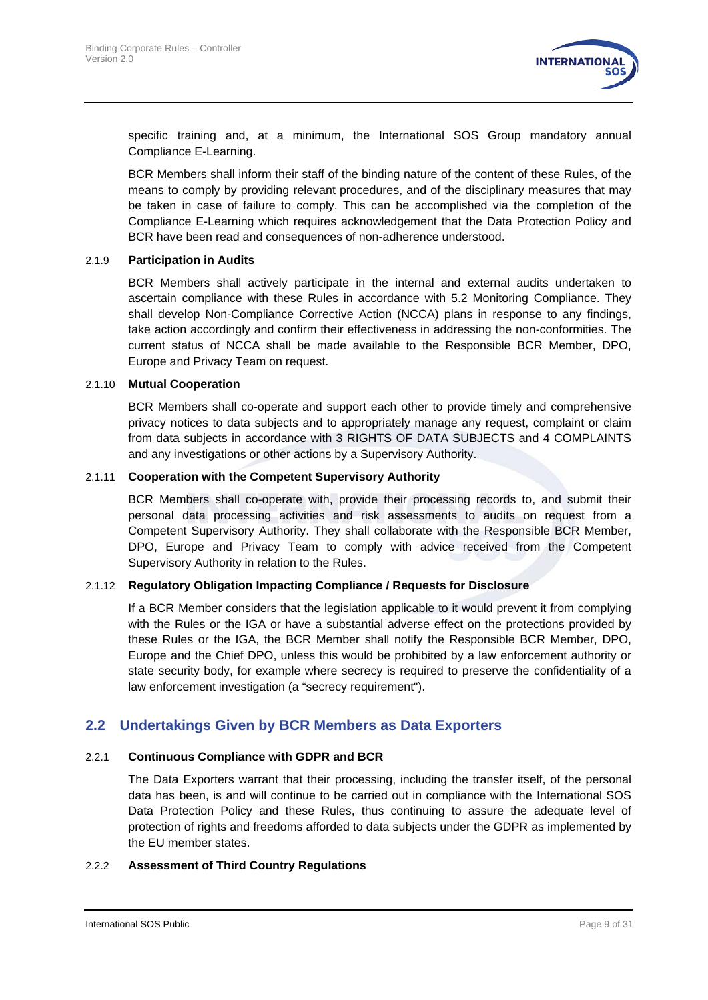

specific training and, at a minimum, the International SOS Group mandatory annual Compliance E-Learning.

BCR Members shall inform their staff of the binding nature of the content of these Rules, of the means to comply by providing relevant procedures, and of the disciplinary measures that may be taken in case of failure to comply. This can be accomplished via the completion of the Compliance E-Learning which requires acknowledgement that the Data Protection Policy and BCR have been read and consequences of non-adherence understood.

#### 2.1.9 **Participation in Audits**

BCR Members shall actively participate in the internal and external audits undertaken to ascertain compliance with these Rules in accordance with [5.2](#page-14-0) [Monitoring Compliance.](#page-14-0) They shall develop Non-Compliance Corrective Action (NCCA) plans in response to any findings, take action accordingly and confirm their effectiveness in addressing the non-conformities. The current status of NCCA shall be made available to the Responsible BCR Member, DPO, Europe and Privacy Team on request.

#### 2.1.10 **Mutual Cooperation**

BCR Members shall co-operate and support each other to provide timely and comprehensive privacy notices to data subjects and to appropriately manage any request, complaint or claim from data subjects in accordance with [3](#page-10-0) RIGHTS OF DATA [SUBJECTS](#page-10-0) and [4](#page-11-0) [COMPLAINTS](#page-11-0) and any investigations or other actions by a Supervisory Authority.

#### 2.1.11 **Cooperation with the Competent Supervisory Authority**

BCR Members shall co-operate with, provide their processing records to, and submit their personal data processing activities and risk assessments to audits on request from a Competent Supervisory Authority. They shall collaborate with the Responsible BCR Member, DPO, Europe and Privacy Team to comply with advice received from the Competent Supervisory Authority in relation to the Rules.

#### <span id="page-8-1"></span>2.1.12 **Regulatory Obligation Impacting Compliance / Requests for Disclosure**

If a BCR Member considers that the legislation applicable to it would prevent it from complying with the Rules or the IGA or have a substantial adverse effect on the protections provided by these Rules or the IGA, the BCR Member shall notify the Responsible BCR Member, DPO, Europe and the Chief DPO, unless this would be prohibited by a law enforcement authority or state security body, for example where secrecy is required to preserve the confidentiality of a law enforcement investigation (a "secrecy requirement").

#### <span id="page-8-0"></span>**2.2 Undertakings Given by BCR Members as Data Exporters**

#### 2.2.1 **Continuous Compliance with GDPR and BCR**

The Data Exporters warrant that their processing, including the transfer itself, of the personal data has been, is and will continue to be carried out in compliance with the International SOS Data Protection Policy and these Rules, thus continuing to assure the adequate level of protection of rights and freedoms afforded to data subjects under the GDPR as implemented by the EU member states.

#### 2.2.2 **Assessment of Third Country Regulations**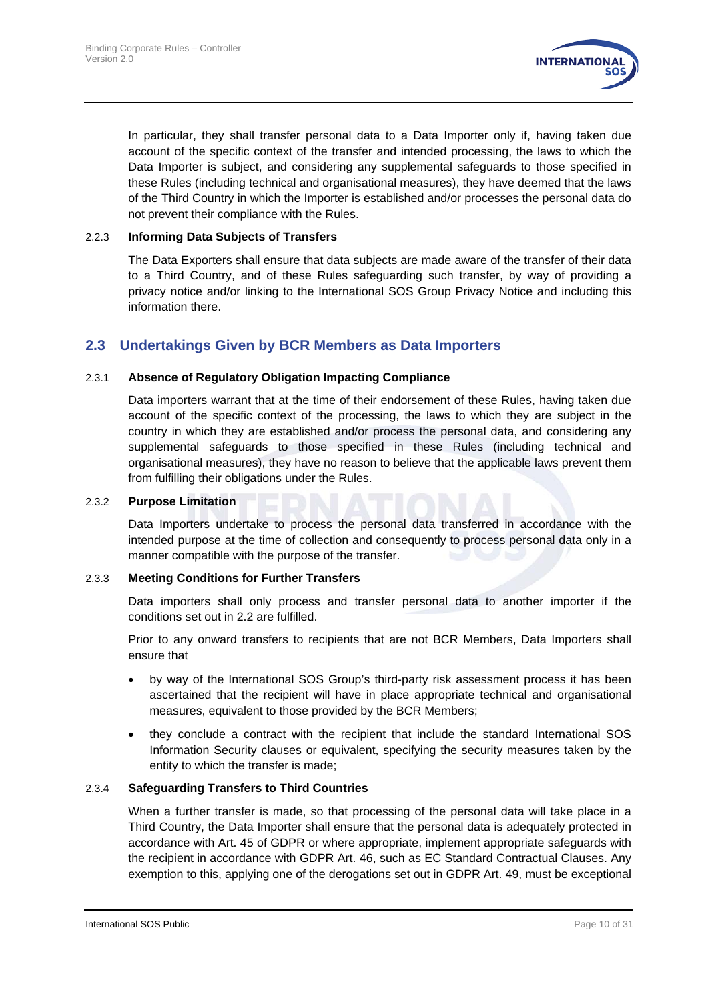

In particular, they shall transfer personal data to a Data Importer only if, having taken due account of the specific context of the transfer and intended processing, the laws to which the Data Importer is subject, and considering any supplemental safeguards to those specified in these Rules (including technical and organisational measures), they have deemed that the laws of the Third Country in which the Importer is established and/or processes the personal data do not prevent their compliance with the Rules.

#### <span id="page-9-0"></span>2.2.3 **Informing Data Subjects of Transfers**

The Data Exporters shall ensure that data subjects are made aware of the transfer of their data to a Third Country, and of these Rules safeguarding such transfer, by way of providing a privacy notice and/or linking to the International SOS Group Privacy Notice and including this information there.

#### **2.3 Undertakings Given by BCR Members as Data Importers**

#### 2.3.1 **Absence of Regulatory Obligation Impacting Compliance**

Data importers warrant that at the time of their endorsement of these Rules, having taken due account of the specific context of the processing, the laws to which they are subject in the country in which they are established and/or process the personal data, and considering any supplemental safeguards to those specified in these Rules (including technical and organisational measures), they have no reason to believe that the applicable laws prevent them from fulfilling their obligations under the Rules.

#### 2.3.2 **Purpose Limitation**

Data Importers undertake to process the personal data transferred in accordance with the intended purpose at the time of collection and consequently to process personal data only in a manner compatible with the purpose of the transfer.

#### 2.3.3 **Meeting Conditions for Further Transfers**

Data importers shall only process and transfer personal data to another importer if the conditions set out in [2.2](#page-8-0) are fulfilled.

<span id="page-9-1"></span>Prior to any onward transfers to recipients that are not BCR Members, Data Importers shall ensure that

- by way of the International SOS Group's third-party risk assessment process it has been ascertained that the recipient will have in place appropriate technical and organisational measures, equivalent to those provided by the BCR Members;
- they conclude a contract with the recipient that include the standard International SOS Information Security clauses or equivalent, specifying the security measures taken by the entity to which the transfer is made;

#### 2.3.4 **Safeguarding Transfers to Third Countries**

When a further transfer is made, so that processing of the personal data will take place in a Third Country, the Data Importer shall ensure that the personal data is adequately protected in accordance with Art. 45 of GDPR or where appropriate, implement appropriate safeguards with the recipient in accordance with GDPR Art. 46, such as EC Standard Contractual Clauses. Any exemption to this, applying one of the derogations set out in GDPR Art. 49, must be exceptional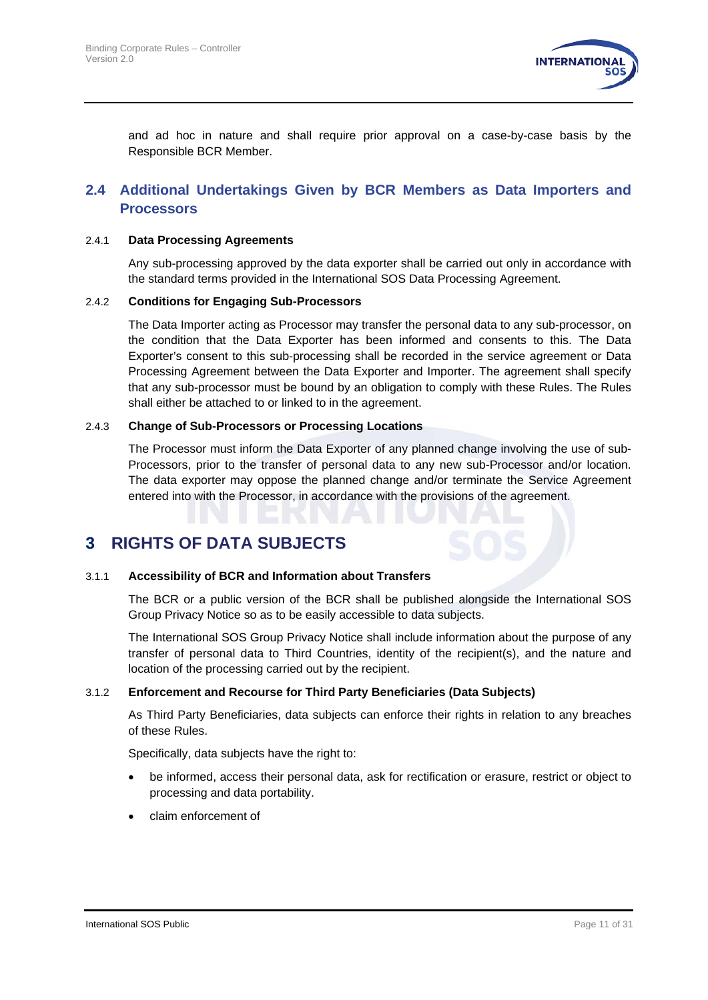

and ad hoc in nature and shall require prior approval on a case-by-case basis by the Responsible BCR Member.

#### **2.4 Additional Undertakings Given by BCR Members as Data Importers and Processors**

#### 2.4.1 **Data Processing Agreements**

Any sub-processing approved by the data exporter shall be carried out only in accordance with the standard terms provided in the International SOS Data Processing Agreement.

#### 2.4.2 **Conditions for Engaging Sub-Processors**

The Data Importer acting as Processor may transfer the personal data to any sub-processor, on the condition that the Data Exporter has been informed and consents to this. The Data Exporter's consent to this sub-processing shall be recorded in the service agreement or Data Processing Agreement between the Data Exporter and Importer. The agreement shall specify that any sub-processor must be bound by an obligation to comply with these Rules. The Rules shall either be attached to or linked to in the agreement.

#### 2.4.3 **Change of Sub-Processors or Processing Locations**

The Processor must inform the Data Exporter of any planned change involving the use of sub-Processors, prior to the transfer of personal data to any new sub-Processor and/or location. The data exporter may oppose the planned change and/or terminate the Service Agreement entered into with the Processor, in accordance with the provisions of the agreement.

## <span id="page-10-0"></span>**3 RIGHTS OF DATA SUBJECTS**

#### 3.1.1 **Accessibility of BCR and Information about Transfers**

The BCR or a public version of the BCR shall be published alongside the International SOS Group Privacy Notice so as to be easily accessible to data subjects.

The International SOS Group Privacy Notice shall include information about the purpose of any transfer of personal data to Third Countries, identity of the recipient(s), and the nature and location of the processing carried out by the recipient.

#### 3.1.2 **Enforcement and Recourse for Third Party Beneficiaries (Data Subjects)**

As Third Party Beneficiaries, data subjects can enforce their rights in relation to any breaches of these Rules.

Specifically, data subjects have the right to:

- be informed, access their personal data, ask for rectification or erasure, restrict or object to processing and data portability.
- claim enforcement of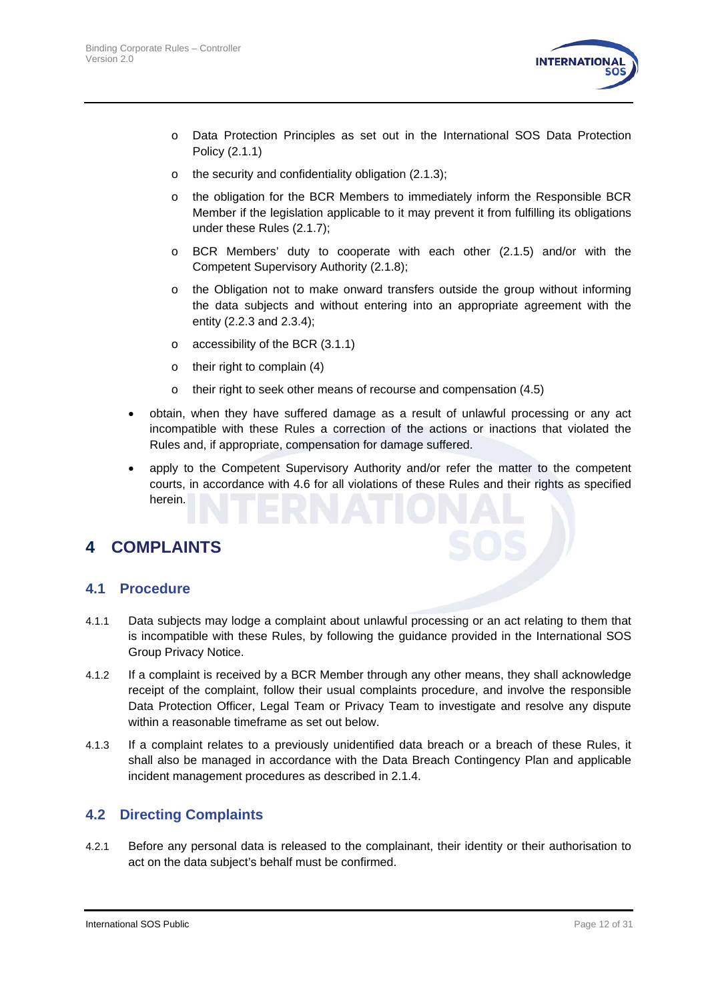

- o Data Protection Principles as set out in the International SOS Data Protection Policy (2.1.1)
- o the security and confidentiality obligation [\(2.1.3\)](#page-6-0);
- o the obligation for the BCR Members to immediately inform the Responsible BCR Member if the legislation applicable to it may prevent it from fulfilling its obligations under these Rules [\(2.1.7\)](#page-8-1);
- o BCR Members' duty to cooperate with each other (2.1.5) and/or with the Competent Supervisory Authority (2.1.8);
- o the Obligation not to make onward transfers outside the group without informing the data subjects and without entering into an appropriate agreement with the entity [\(2.2.3](#page-9-0) and [2.3.4\)](#page-9-1);
- o accessibility of the BCR (3.1.1)
- o their right to complain (4)
- $\circ$  their right to seek other means of recourse and compensation [\(4.5\)](#page-12-0)
- obtain, when they have suffered damage as a result of unlawful processing or any act incompatible with these Rules a correction of the actions or inactions that violated the Rules and, if appropriate, compensation for damage suffered.
- apply to the Competent Supervisory Authority and/or refer the matter to the competent courts, in accordance with [4.6](#page-13-0) for all violations of these Rules and their rights as specified herein.

# <span id="page-11-0"></span>**4 COMPLAINTS**

#### **4.1 Procedure**

- 4.1.1 Data subjects may lodge a complaint about unlawful processing or an act relating to them that is incompatible with these Rules, by following the guidance provided in the International SOS Group Privacy Notice.
- 4.1.2 If a complaint is received by a BCR Member through any other means, they shall acknowledge receipt of the complaint, follow their usual complaints procedure, and involve the responsible Data Protection Officer, Legal Team or Privacy Team to investigate and resolve any dispute within a reasonable timeframe as set out below.
- 4.1.3 If a complaint relates to a previously unidentified data breach or a breach of these Rules, it shall also be managed in accordance with the Data Breach Contingency Plan and applicable incident management procedures as described in [2.1.4.](#page-6-1)

#### **4.2 Directing Complaints**

4.2.1 Before any personal data is released to the complainant, their identity or their authorisation to act on the data subject's behalf must be confirmed.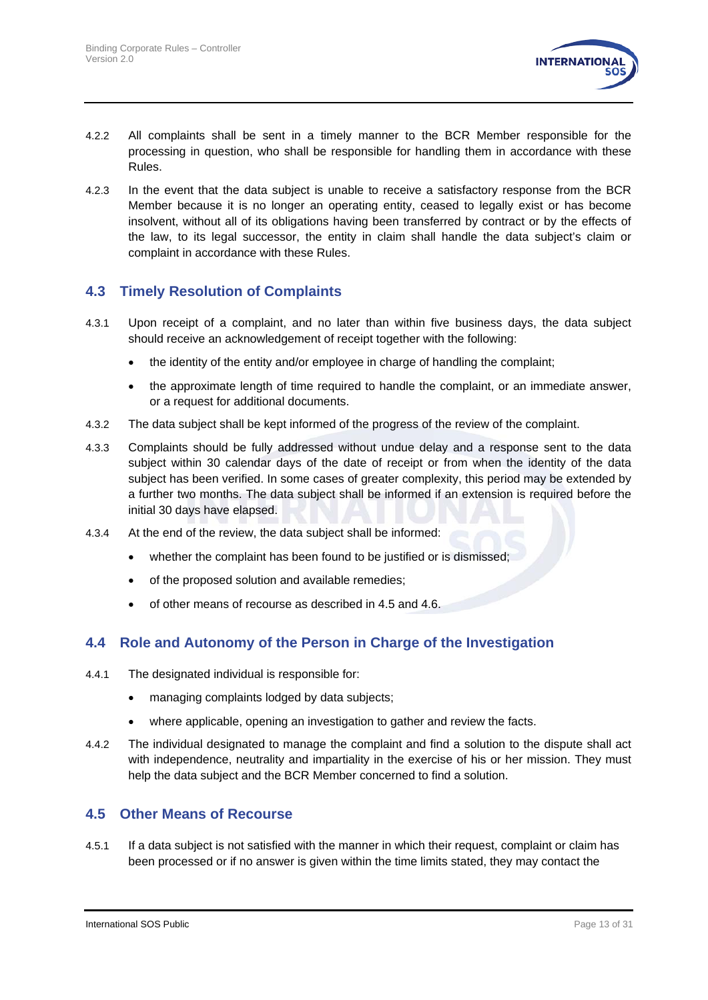

- 4.2.2 All complaints shall be sent in a timely manner to the BCR Member responsible for the processing in question, who shall be responsible for handling them in accordance with these Rules.
- 4.2.3 In the event that the data subject is unable to receive a satisfactory response from the BCR Member because it is no longer an operating entity, ceased to legally exist or has become insolvent, without all of its obligations having been transferred by contract or by the effects of the law, to its legal successor, the entity in claim shall handle the data subject's claim or complaint in accordance with these Rules.

#### **4.3 Timely Resolution of Complaints**

- 4.3.1 Upon receipt of a complaint, and no later than within five business days, the data subject should receive an acknowledgement of receipt together with the following:
	- the identity of the entity and/or employee in charge of handling the complaint;
	- the approximate length of time required to handle the complaint, or an immediate answer, or a request for additional documents.
- 4.3.2 The data subject shall be kept informed of the progress of the review of the complaint.
- 4.3.3 Complaints should be fully addressed without undue delay and a response sent to the data subject within 30 calendar days of the date of receipt or from when the identity of the data subject has been verified. In some cases of greater complexity, this period may be extended by a further two months. The data subject shall be informed if an extension is required before the initial 30 days have elapsed.
- 4.3.4 At the end of the review, the data subject shall be informed:
	- whether the complaint has been found to be justified or is dismissed;
	- of the proposed solution and available remedies;
	- of other means of recourse as described in [4.5](#page-12-0) and 4.6.

#### **4.4 Role and Autonomy of the Person in Charge of the Investigation**

- 4.4.1 The designated individual is responsible for:
	- managing complaints lodged by data subjects;
	- where applicable, opening an investigation to gather and review the facts.
- 4.4.2 The individual designated to manage the complaint and find a solution to the dispute shall act with independence, neutrality and impartiality in the exercise of his or her mission. They must help the data subject and the BCR Member concerned to find a solution.

#### <span id="page-12-0"></span>**4.5 Other Means of Recourse**

4.5.1 If a data subject is not satisfied with the manner in which their request, complaint or claim has been processed or if no answer is given within the time limits stated, they may contact the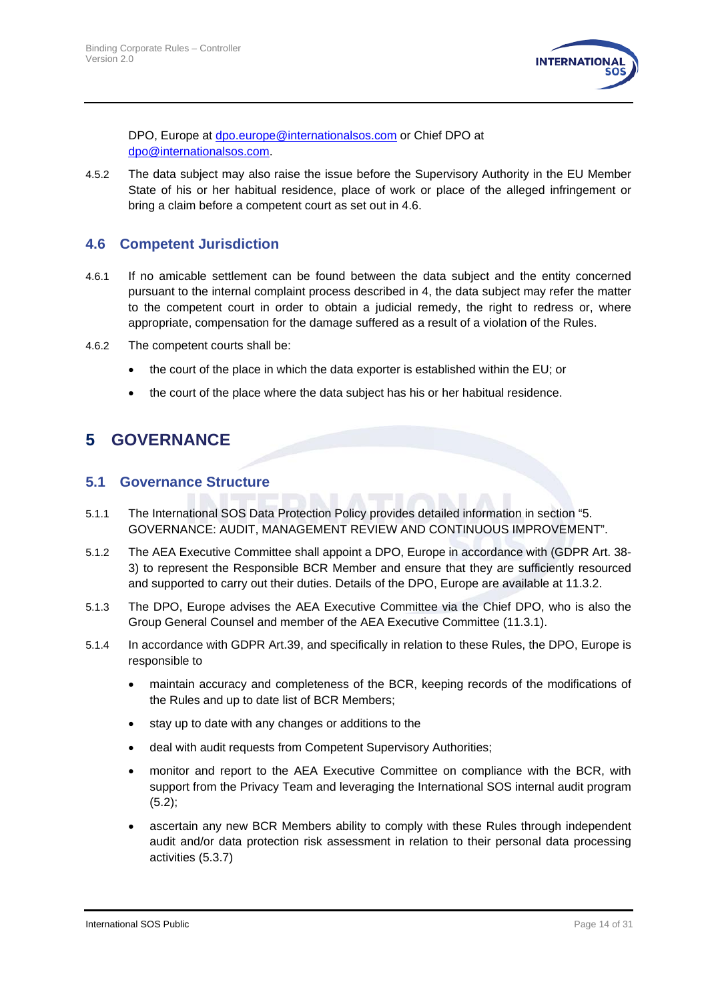

DPO, Europe at [dpo.europe@internationalsos.com](mailto:dpo.europe@internationalsos.com) or Chief DPO at [dpo@internationalsos.com.](mailto:dpo@internationalsos.com)

4.5.2 The data subject may also raise the issue before the Supervisory Authority in the EU Member State of his or her habitual residence, place of work or place of the alleged infringement or bring a claim before a competent court as set out in 4.6.

#### <span id="page-13-0"></span>**4.6 Competent Jurisdiction**

- 4.6.1 If no amicable settlement can be found between the data subject and the entity concerned pursuant to the internal complaint process described in [4,](#page-11-0) the data subject may refer the matter to the competent court in order to obtain a judicial remedy, the right to redress or, where appropriate, compensation for the damage suffered as a result of a violation of the Rules.
- 4.6.2 The competent courts shall be:
	- the court of the place in which the data exporter is established within the EU; or
	- the court of the place where the data subject has his or her habitual residence.

# **5 GOVERNANCE**

#### **5.1 Governance Structure**

- 5.1.1 The International SOS Data Protection Policy provides detailed information in section "5. GOVERNANCE: AUDIT, MANAGEMENT REVIEW AND CONTINUOUS IMPROVEMENT".
- 5.1.2 The AEA Executive Committee shall appoint a DPO, Europe in accordance with (GDPR Art. 38- 3) to represent the Responsible BCR Member and ensure that they are sufficiently resourced and supported to carry out their duties. Details of the DPO, Europe are available at [11.3.2.](#page-28-1)
- 5.1.3 The DPO, Europe advises the AEA Executive Committee via the Chief DPO, who is also the Group General Counsel and member of the AEA Executive Committee (11.3.1).
- 5.1.4 In accordance with GDPR Art.39, and specifically in relation to these Rules, the DPO, Europe is responsible to
	- maintain accuracy and completeness of the BCR, keeping records of the modifications of the Rules and up to date list of BCR Members;
	- stay up to date with any changes or additions to the
	- deal with audit requests from Competent Supervisory Authorities;
	- monitor and report to the AEA Executive Committee on compliance with the BCR, with support from the Privacy Team and leveraging the International SOS internal audit program [\(5.2\)](#page-14-0);
	- ascertain any new BCR Members ability to comply with these Rules through independent audit and/or data protection risk assessment in relation to their personal data processing activities (5.3.7)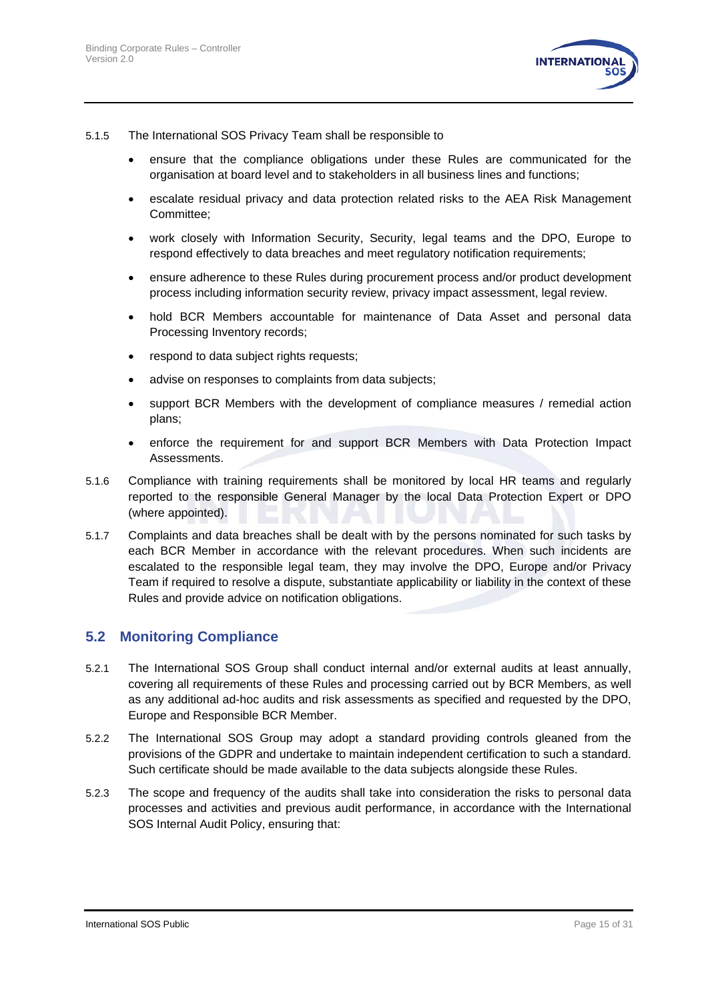

- 5.1.5 The International SOS Privacy Team shall be responsible to
	- ensure that the compliance obligations under these Rules are communicated for the organisation at board level and to stakeholders in all business lines and functions;
	- escalate residual privacy and data protection related risks to the AEA Risk Management Committee;
	- work closely with Information Security, Security, legal teams and the DPO, Europe to respond effectively to data breaches and meet regulatory notification requirements;
	- ensure adherence to these Rules during procurement process and/or product development process including information security review, privacy impact assessment, legal review.
	- hold BCR Members accountable for maintenance of Data Asset and personal data Processing Inventory records;
	- respond to data subject rights requests;
	- advise on responses to complaints from data subjects;
	- support BCR Members with the development of compliance measures / remedial action plans;
	- enforce the requirement for and support BCR Members with Data Protection Impact Assessments.
- 5.1.6 Compliance with training requirements shall be monitored by local HR teams and regularly reported to the responsible General Manager by the local Data Protection Expert or DPO (where appointed).
- 5.1.7 Complaints and data breaches shall be dealt with by the persons nominated for such tasks by each BCR Member in accordance with the relevant procedures. When such incidents are escalated to the responsible legal team, they may involve the DPO, Europe and/or Privacy Team if required to resolve a dispute, substantiate applicability or liability in the context of these Rules and provide advice on notification obligations.

#### <span id="page-14-0"></span>**5.2 Monitoring Compliance**

- 5.2.1 The International SOS Group shall conduct internal and/or external audits at least annually, covering all requirements of these Rules and processing carried out by BCR Members, as well as any additional ad-hoc audits and risk assessments as specified and requested by the DPO, Europe and Responsible BCR Member.
- 5.2.2 The International SOS Group may adopt a standard providing controls gleaned from the provisions of the GDPR and undertake to maintain independent certification to such a standard. Such certificate should be made available to the data subjects alongside these Rules.
- 5.2.3 The scope and frequency of the audits shall take into consideration the risks to personal data processes and activities and previous audit performance, in accordance with the International SOS Internal Audit Policy, ensuring that: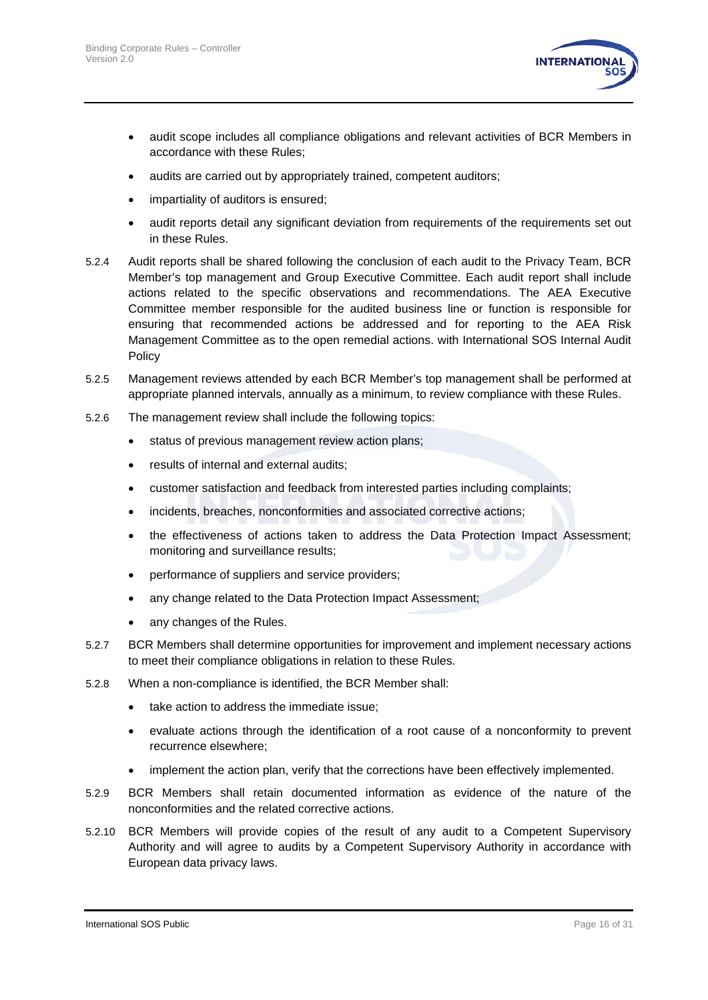

- audit scope includes all compliance obligations and relevant activities of BCR Members in accordance with these Rules;
- audits are carried out by appropriately trained, competent auditors;
- impartiality of auditors is ensured;
- audit reports detail any significant deviation from requirements of the requirements set out in these Rules.
- 5.2.4 Audit reports shall be shared following the conclusion of each audit to the Privacy Team, BCR Member's top management and Group Executive Committee. Each audit report shall include actions related to the specific observations and recommendations. The AEA Executive Committee member responsible for the audited business line or function is responsible for ensuring that recommended actions be addressed and for reporting to the AEA Risk Management Committee as to the open remedial actions. with International SOS Internal Audit Policy
- 5.2.5 Management reviews attended by each BCR Member's top management shall be performed at appropriate planned intervals, annually as a minimum, to review compliance with these Rules.
- 5.2.6 The management review shall include the following topics:
	- status of previous management review action plans;
	- results of internal and external audits;
	- customer satisfaction and feedback from interested parties including complaints;
	- incidents, breaches, nonconformities and associated corrective actions;
	- the effectiveness of actions taken to address the Data Protection Impact Assessment; monitoring and surveillance results;
	- performance of suppliers and service providers;
	- any change related to the Data Protection Impact Assessment;
	- any changes of the Rules.
- 5.2.7 BCR Members shall determine opportunities for improvement and implement necessary actions to meet their compliance obligations in relation to these Rules.
- 5.2.8 When a non-compliance is identified, the BCR Member shall:
	- take action to address the immediate issue;
	- evaluate actions through the identification of a root cause of a nonconformity to prevent recurrence elsewhere;
	- implement the action plan, verify that the corrections have been effectively implemented.
- 5.2.9 BCR Members shall retain documented information as evidence of the nature of the nonconformities and the related corrective actions.
- 5.2.10 BCR Members will provide copies of the result of any audit to a Competent Supervisory Authority and will agree to audits by a Competent Supervisory Authority in accordance with European data privacy laws.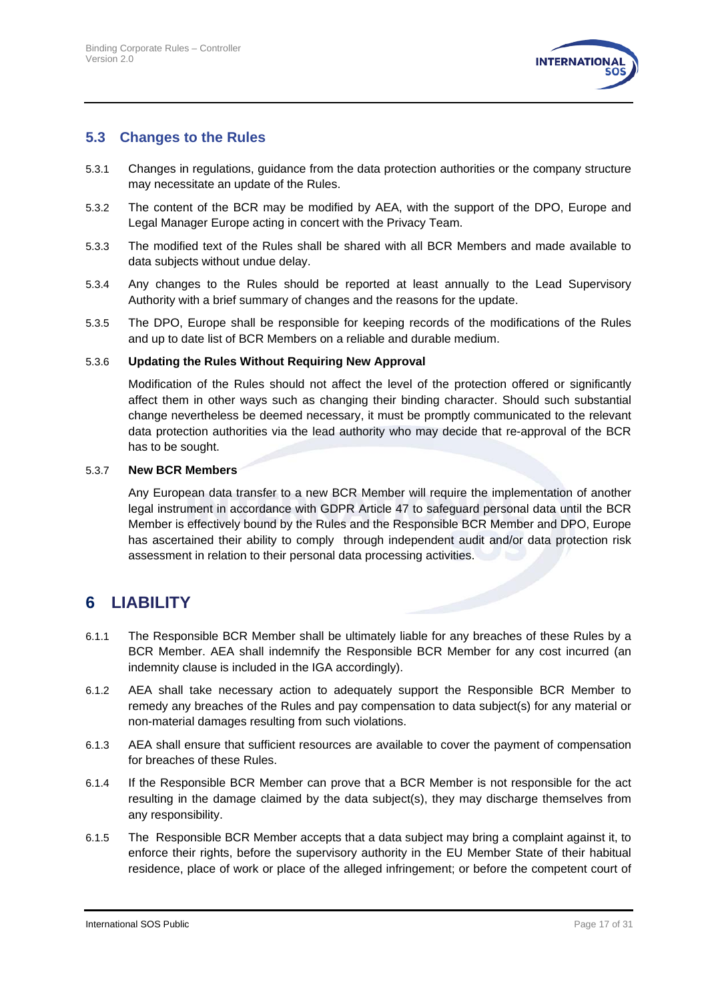

#### <span id="page-16-1"></span>**5.3 Changes to the Rules**

- 5.3.1 Changes in regulations, guidance from the data protection authorities or the company structure may necessitate an update of the Rules.
- 5.3.2 The content of the BCR may be modified by AEA, with the support of the DPO, Europe and Legal Manager Europe acting in concert with the Privacy Team.
- 5.3.3 The modified text of the Rules shall be shared with all BCR Members and made available to data subjects without undue delay.
- 5.3.4 Any changes to the Rules should be reported at least annually to the Lead Supervisory Authority with a brief summary of changes and the reasons for the update.
- 5.3.5 The DPO, Europe shall be responsible for keeping records of the modifications of the Rules and up to date list of BCR Members on a reliable and durable medium.

#### 5.3.6 **Updating the Rules Without Requiring New Approval**

Modification of the Rules should not affect the level of the protection offered or significantly affect them in other ways such as changing their binding character. Should such substantial change nevertheless be deemed necessary, it must be promptly communicated to the relevant data protection authorities via the lead authority who may decide that re-approval of the BCR has to be sought.

#### 5.3.7 **New BCR Members**

Any European data transfer to a new BCR Member will require the implementation of another legal instrument in accordance with GDPR Article 47 to safeguard personal data until the BCR Member is effectively bound by the Rules and the Responsible BCR Member and DPO, Europe has ascertained their ability to comply through independent audit and/or data protection risk assessment in relation to their personal data processing activities.

# <span id="page-16-0"></span>**6 LIABILITY**

- 6.1.1 The Responsible BCR Member shall be ultimately liable for any breaches of these Rules by a BCR Member. AEA shall indemnify the Responsible BCR Member for any cost incurred (an indemnity clause is included in the IGA accordingly).
- 6.1.2 AEA shall take necessary action to adequately support the Responsible BCR Member to remedy any breaches of the Rules and pay compensation to data subject(s) for any material or non-material damages resulting from such violations.
- 6.1.3 AEA shall ensure that sufficient resources are available to cover the payment of compensation for breaches of these Rules.
- 6.1.4 If the Responsible BCR Member can prove that a BCR Member is not responsible for the act resulting in the damage claimed by the data subject(s), they may discharge themselves from any responsibility.
- 6.1.5 The Responsible BCR Member accepts that a data subject may bring a complaint against it, to enforce their rights, before the supervisory authority in the EU Member State of their habitual residence, place of work or place of the alleged infringement; or before the competent court of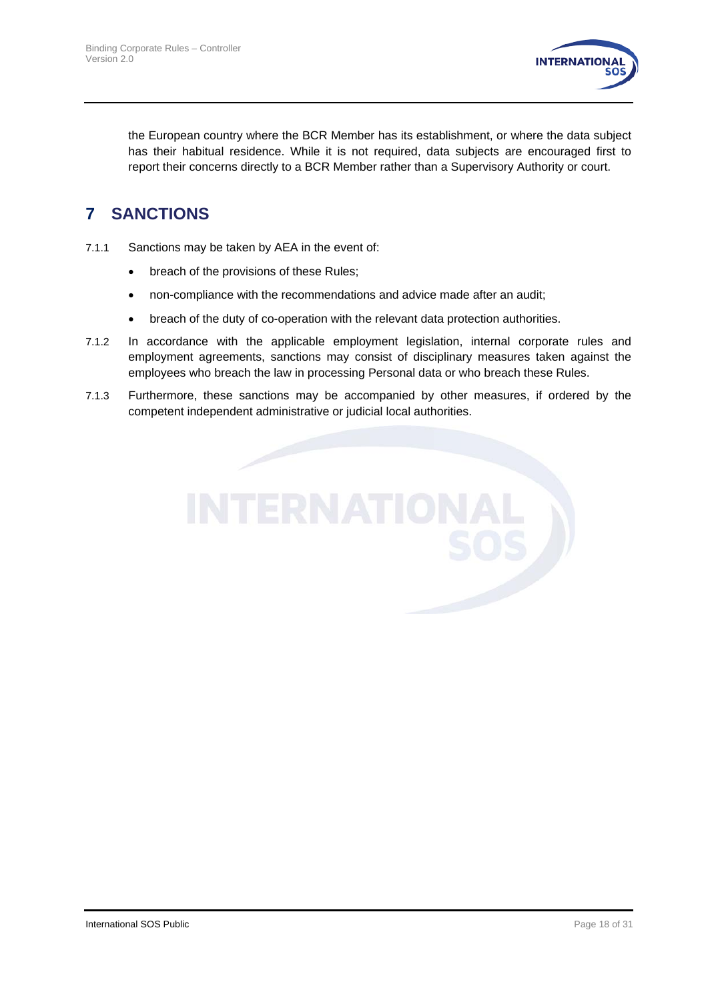

the European country where the BCR Member has its establishment, or where the data subject has their habitual residence. While it is not required, data subjects are encouraged first to report their concerns directly to a BCR Member rather than a Supervisory Authority or court.

# <span id="page-17-0"></span>**7 SANCTIONS**

- 7.1.1 Sanctions may be taken by AEA in the event of:
	- breach of the provisions of these Rules;
	- non-compliance with the recommendations and advice made after an audit;
	- breach of the duty of co-operation with the relevant data protection authorities.
- 7.1.2 In accordance with the applicable employment legislation, internal corporate rules and employment agreements, sanctions may consist of disciplinary measures taken against the employees who breach the law in processing Personal data or who breach these Rules.
- 7.1.3 Furthermore, these sanctions may be accompanied by other measures, if ordered by the competent independent administrative or judicial local authorities.

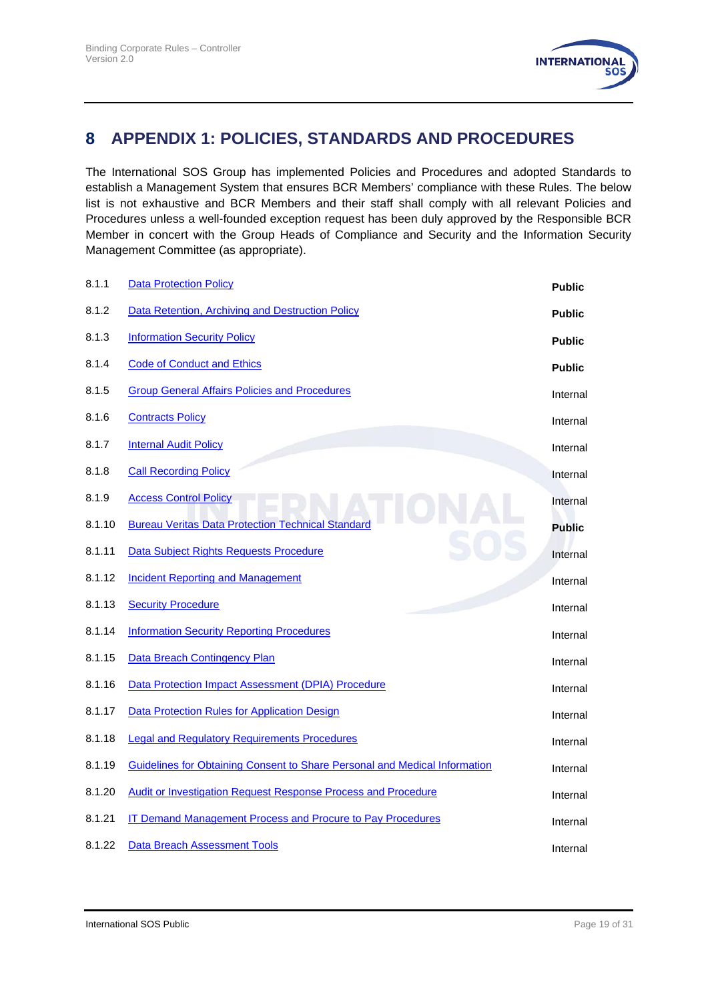

# <span id="page-18-0"></span>**8 APPENDIX 1: POLICIES, STANDARDS AND PROCEDURES**

The International SOS Group has implemented Policies and Procedures and adopted Standards to establish a Management System that ensures BCR Members' compliance with these Rules. The below list is not exhaustive and BCR Members and their staff shall comply with all relevant Policies and Procedures unless a well-founded exception request has been duly approved by the Responsible BCR Member in concert with the Group Heads of Compliance and Security and the Information Security Management Committee (as appropriate).

| 8.1.1  | <b>Data Protection Policy</b>                                              | <b>Public</b> |
|--------|----------------------------------------------------------------------------|---------------|
| 8.1.2  | Data Retention, Archiving and Destruction Policy                           | <b>Public</b> |
| 8.1.3  | <b>Information Security Policy</b>                                         | <b>Public</b> |
| 8.1.4  | <b>Code of Conduct and Ethics</b>                                          | <b>Public</b> |
| 8.1.5  | <b>Group General Affairs Policies and Procedures</b>                       | Internal      |
| 8.1.6  | <b>Contracts Policy</b>                                                    | Internal      |
| 8.1.7  | <b>Internal Audit Policy</b>                                               | Internal      |
| 8.1.8  | <b>Call Recording Policy</b>                                               | Internal      |
| 8.1.9  | <b>Access Control Policy</b>                                               | Internal      |
| 8.1.10 | <b>Bureau Veritas Data Protection Technical Standard</b>                   | <b>Public</b> |
| 8.1.11 | Data Subject Rights Requests Procedure                                     | Internal      |
| 8.1.12 | <b>Incident Reporting and Management</b>                                   | Internal      |
| 8.1.13 | <b>Security Procedure</b>                                                  | Internal      |
| 8.1.14 | <b>Information Security Reporting Procedures</b>                           | Internal      |
| 8.1.15 | Data Breach Contingency Plan                                               | Internal      |
| 8.1.16 | Data Protection Impact Assessment (DPIA) Procedure                         | Internal      |
| 8.1.17 | <b>Data Protection Rules for Application Design</b>                        | Internal      |
| 8.1.18 | <b>Legal and Regulatory Requirements Procedures</b>                        | Internal      |
| 8.1.19 | Guidelines for Obtaining Consent to Share Personal and Medical Information | Internal      |
| 8.1.20 | <b>Audit or Investigation Request Response Process and Procedure</b>       | Internal      |
| 8.1.21 | <b>IT Demand Management Process and Procure to Pay Procedures</b>          | Internal      |
| 8.1.22 | <b>Data Breach Assessment Tools</b>                                        | Internal      |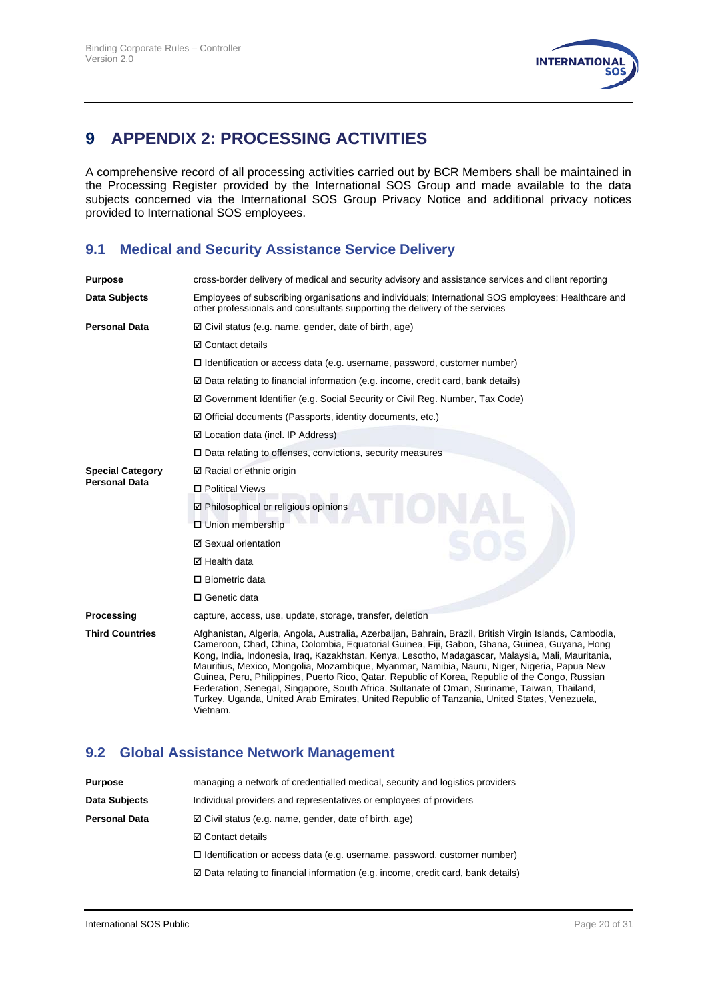

# <span id="page-19-0"></span>**9 APPENDIX 2: PROCESSING ACTIVITIES**

A comprehensive record of all processing activities carried out by BCR Members shall be maintained in the Processing Register provided by the International SOS Group and made available to the data subjects concerned via the International SOS Group Privacy Notice and additional privacy notices provided to International SOS employees.

### **9.1 Medical and Security Assistance Service Delivery**

| <b>Purpose</b>          | cross-border delivery of medical and security advisory and assistance services and client reporting                                                                                                                                                                                                                                                                                                                                                                                                                                                                                                                                                                                                                         |
|-------------------------|-----------------------------------------------------------------------------------------------------------------------------------------------------------------------------------------------------------------------------------------------------------------------------------------------------------------------------------------------------------------------------------------------------------------------------------------------------------------------------------------------------------------------------------------------------------------------------------------------------------------------------------------------------------------------------------------------------------------------------|
| Data Subjects           | Employees of subscribing organisations and individuals; International SOS employees; Healthcare and<br>other professionals and consultants supporting the delivery of the services                                                                                                                                                                                                                                                                                                                                                                                                                                                                                                                                          |
| <b>Personal Data</b>    | $\boxtimes$ Civil status (e.g. name, gender, date of birth, age)                                                                                                                                                                                                                                                                                                                                                                                                                                                                                                                                                                                                                                                            |
|                         | <b>⊠</b> Contact details                                                                                                                                                                                                                                                                                                                                                                                                                                                                                                                                                                                                                                                                                                    |
|                         | $\Box$ Identification or access data (e.g. username, password, customer number)                                                                                                                                                                                                                                                                                                                                                                                                                                                                                                                                                                                                                                             |
|                         | $\boxtimes$ Data relating to financial information (e.g. income, credit card, bank details)                                                                                                                                                                                                                                                                                                                                                                                                                                                                                                                                                                                                                                 |
|                         | ☑ Government Identifier (e.g. Social Security or Civil Reg. Number, Tax Code)                                                                                                                                                                                                                                                                                                                                                                                                                                                                                                                                                                                                                                               |
|                         | $\boxtimes$ Official documents (Passports, identity documents, etc.)                                                                                                                                                                                                                                                                                                                                                                                                                                                                                                                                                                                                                                                        |
|                         | $\boxtimes$ Location data (incl. IP Address)                                                                                                                                                                                                                                                                                                                                                                                                                                                                                                                                                                                                                                                                                |
|                         | $\Box$ Data relating to offenses, convictions, security measures                                                                                                                                                                                                                                                                                                                                                                                                                                                                                                                                                                                                                                                            |
| <b>Special Category</b> | $\boxtimes$ Racial or ethnic origin                                                                                                                                                                                                                                                                                                                                                                                                                                                                                                                                                                                                                                                                                         |
| <b>Personal Data</b>    | □ Political Views                                                                                                                                                                                                                                                                                                                                                                                                                                                                                                                                                                                                                                                                                                           |
|                         | ☑ Philosophical or religious opinions                                                                                                                                                                                                                                                                                                                                                                                                                                                                                                                                                                                                                                                                                       |
|                         | □ Union membership                                                                                                                                                                                                                                                                                                                                                                                                                                                                                                                                                                                                                                                                                                          |
|                         | ☑ Sexual orientation                                                                                                                                                                                                                                                                                                                                                                                                                                                                                                                                                                                                                                                                                                        |
|                         | $\boxtimes$ Health data                                                                                                                                                                                                                                                                                                                                                                                                                                                                                                                                                                                                                                                                                                     |
|                         | $\Box$ Biometric data                                                                                                                                                                                                                                                                                                                                                                                                                                                                                                                                                                                                                                                                                                       |
|                         | □ Genetic data                                                                                                                                                                                                                                                                                                                                                                                                                                                                                                                                                                                                                                                                                                              |
| Processing              | capture, access, use, update, storage, transfer, deletion                                                                                                                                                                                                                                                                                                                                                                                                                                                                                                                                                                                                                                                                   |
| <b>Third Countries</b>  | Afghanistan, Algeria, Angola, Australia, Azerbaijan, Bahrain, Brazil, British Virgin Islands, Cambodia,<br>Cameroon, Chad, China, Colombia, Equatorial Guinea, Fiji, Gabon, Ghana, Guinea, Guyana, Hong<br>Kong, India, Indonesia, Iraq, Kazakhstan, Kenya, Lesotho, Madagascar, Malaysia, Mali, Mauritania,<br>Mauritius, Mexico, Mongolia, Mozambique, Myanmar, Namibia, Nauru, Niger, Nigeria, Papua New<br>Guinea, Peru, Philippines, Puerto Rico, Qatar, Republic of Korea, Republic of the Congo, Russian<br>Federation, Senegal, Singapore, South Africa, Sultanate of Oman, Suriname, Taiwan, Thailand,<br>Turkey, Uganda, United Arab Emirates, United Republic of Tanzania, United States, Venezuela,<br>Vietnam. |

### **9.2 Global Assistance Network Management**

| <b>Purpose</b>       | managing a network of credentialled medical, security and logistics providers               |
|----------------------|---------------------------------------------------------------------------------------------|
| Data Subjects        | Individual providers and representatives or employees of providers                          |
| <b>Personal Data</b> | $\boxtimes$ Civil status (e.g. name, gender, date of birth, age)                            |
|                      | <b>⊠</b> Contact details                                                                    |
|                      | $\Box$ Identification or access data (e.g. username, password, customer number)             |
|                      | $\boxtimes$ Data relating to financial information (e.g. income, credit card, bank details) |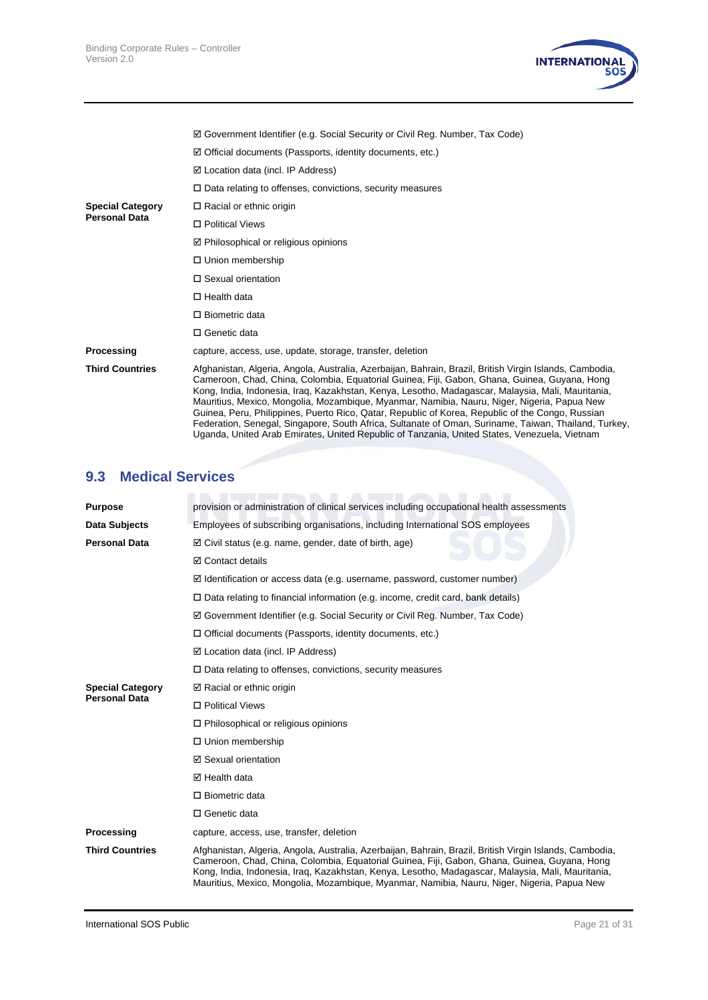

|                         | $\boxtimes$ Government Identifier (e.g. Social Security or Civil Reg. Number, Tax Code)                                                                                                                                                                                                                                                                                                                                                                                                                                                                                                                                                                                                                                 |
|-------------------------|-------------------------------------------------------------------------------------------------------------------------------------------------------------------------------------------------------------------------------------------------------------------------------------------------------------------------------------------------------------------------------------------------------------------------------------------------------------------------------------------------------------------------------------------------------------------------------------------------------------------------------------------------------------------------------------------------------------------------|
|                         | $\boxtimes$ Official documents (Passports, identity documents, etc.)                                                                                                                                                                                                                                                                                                                                                                                                                                                                                                                                                                                                                                                    |
|                         | $\boxtimes$ Location data (incl. IP Address)                                                                                                                                                                                                                                                                                                                                                                                                                                                                                                                                                                                                                                                                            |
|                         | $\Box$ Data relating to offenses, convictions, security measures                                                                                                                                                                                                                                                                                                                                                                                                                                                                                                                                                                                                                                                        |
| <b>Special Category</b> | $\Box$ Racial or ethnic origin                                                                                                                                                                                                                                                                                                                                                                                                                                                                                                                                                                                                                                                                                          |
| <b>Personal Data</b>    | □ Political Views                                                                                                                                                                                                                                                                                                                                                                                                                                                                                                                                                                                                                                                                                                       |
|                         | $\boxtimes$ Philosophical or religious opinions                                                                                                                                                                                                                                                                                                                                                                                                                                                                                                                                                                                                                                                                         |
|                         | $\Box$ Union membership                                                                                                                                                                                                                                                                                                                                                                                                                                                                                                                                                                                                                                                                                                 |
|                         | $\Box$ Sexual orientation                                                                                                                                                                                                                                                                                                                                                                                                                                                                                                                                                                                                                                                                                               |
|                         | $\Box$ Health data                                                                                                                                                                                                                                                                                                                                                                                                                                                                                                                                                                                                                                                                                                      |
|                         | $\Box$ Biometric data                                                                                                                                                                                                                                                                                                                                                                                                                                                                                                                                                                                                                                                                                                   |
|                         | $\Box$ Genetic data                                                                                                                                                                                                                                                                                                                                                                                                                                                                                                                                                                                                                                                                                                     |
| Processing              | capture, access, use, update, storage, transfer, deletion                                                                                                                                                                                                                                                                                                                                                                                                                                                                                                                                                                                                                                                               |
| <b>Third Countries</b>  | Afghanistan, Algeria, Angola, Australia, Azerbaijan, Bahrain, Brazil, British Virgin Islands, Cambodia,<br>Cameroon, Chad, China, Colombia, Equatorial Guinea, Fiji, Gabon, Ghana, Guinea, Guyana, Hong<br>Kong, India, Indonesia, Iraq, Kazakhstan, Kenya, Lesotho, Madagascar, Malaysia, Mali, Mauritania,<br>Mauritius, Mexico, Mongolia, Mozambique, Myanmar, Namibia, Nauru, Niger, Nigeria, Papua New<br>Guinea, Peru, Philippines, Puerto Rico, Qatar, Republic of Korea, Republic of the Congo, Russian<br>Federation, Senegal, Singapore, South Africa, Sultanate of Oman, Suriname, Taiwan, Thailand, Turkey,<br>Uganda, United Arab Emirates, United Republic of Tanzania, United States, Venezuela, Vietnam |

# **9.3 Medical Services**

| <b>Purpose</b>          | provision or administration of clinical services including occupational health assessments                                                                                                                                                                                                                                                                                                                  |
|-------------------------|-------------------------------------------------------------------------------------------------------------------------------------------------------------------------------------------------------------------------------------------------------------------------------------------------------------------------------------------------------------------------------------------------------------|
| Data Subjects           | Employees of subscribing organisations, including International SOS employees                                                                                                                                                                                                                                                                                                                               |
| <b>Personal Data</b>    | $\boxtimes$ Civil status (e.g. name, gender, date of birth, age)                                                                                                                                                                                                                                                                                                                                            |
|                         | <b>☑</b> Contact details                                                                                                                                                                                                                                                                                                                                                                                    |
|                         | $\boxtimes$ Identification or access data (e.g. username, password, customer number)                                                                                                                                                                                                                                                                                                                        |
|                         | $\Box$ Data relating to financial information (e.g. income, credit card, bank details)                                                                                                                                                                                                                                                                                                                      |
|                         | $\boxtimes$ Government Identifier (e.g. Social Security or Civil Reg. Number, Tax Code)                                                                                                                                                                                                                                                                                                                     |
|                         | $\Box$ Official documents (Passports, identity documents, etc.)                                                                                                                                                                                                                                                                                                                                             |
|                         | $\boxtimes$ Location data (incl. IP Address)                                                                                                                                                                                                                                                                                                                                                                |
|                         | $\Box$ Data relating to offenses, convictions, security measures                                                                                                                                                                                                                                                                                                                                            |
| <b>Special Category</b> | $\boxtimes$ Racial or ethnic origin                                                                                                                                                                                                                                                                                                                                                                         |
| <b>Personal Data</b>    | □ Political Views                                                                                                                                                                                                                                                                                                                                                                                           |
|                         | $\Box$ Philosophical or religious opinions                                                                                                                                                                                                                                                                                                                                                                  |
|                         | $\Box$ Union membership                                                                                                                                                                                                                                                                                                                                                                                     |
|                         | ☑ Sexual orientation                                                                                                                                                                                                                                                                                                                                                                                        |
|                         | $\boxtimes$ Health data                                                                                                                                                                                                                                                                                                                                                                                     |
|                         | $\Box$ Biometric data                                                                                                                                                                                                                                                                                                                                                                                       |
|                         | □ Genetic data                                                                                                                                                                                                                                                                                                                                                                                              |
| Processing              | capture, access, use, transfer, deletion                                                                                                                                                                                                                                                                                                                                                                    |
| <b>Third Countries</b>  | Afghanistan, Algeria, Angola, Australia, Azerbaijan, Bahrain, Brazil, British Virgin Islands, Cambodia,<br>Cameroon, Chad, China, Colombia, Equatorial Guinea, Fiji, Gabon, Ghana, Guinea, Guyana, Hong<br>Kong, India, Indonesia, Irag, Kazakhstan, Kenya, Lesotho, Madagascar, Malaysia, Mali, Mauritania,<br>Mauritius, Mexico, Mongolia, Mozambique, Myanmar, Namibia, Nauru, Niger, Nigeria, Papua New |
|                         |                                                                                                                                                                                                                                                                                                                                                                                                             |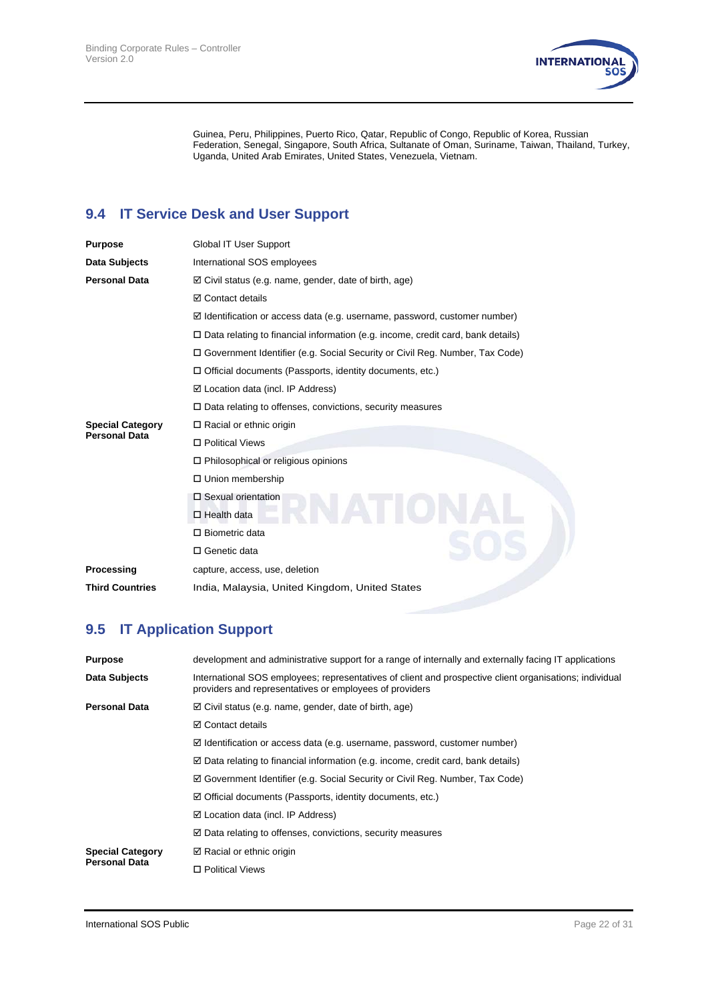

Guinea, Peru, Philippines, Puerto Rico, Qatar, Republic of Congo, Republic of Korea, Russian Federation, Senegal, Singapore, South Africa, Sultanate of Oman, Suriname, Taiwan, Thailand, Turkey, Uganda, United Arab Emirates, United States, Venezuela, Vietnam.

# **9.4 IT Service Desk and User Support**

| <b>Purpose</b>          | Global IT User Support                                                                 |
|-------------------------|----------------------------------------------------------------------------------------|
| Data Subjects           | International SOS employees                                                            |
| Personal Data           | $\boxtimes$ Civil status (e.g. name, gender, date of birth, age)                       |
|                         | <b>☑</b> Contact details                                                               |
|                         | $\boxtimes$ Identification or access data (e.g. username, password, customer number)   |
|                         | $\Box$ Data relating to financial information (e.g. income, credit card, bank details) |
|                         | □ Government Identifier (e.g. Social Security or Civil Reg. Number, Tax Code)          |
|                         | $\Box$ Official documents (Passports, identity documents, etc.)                        |
|                         | $\boxtimes$ Location data (incl. IP Address)                                           |
|                         | $\Box$ Data relating to offenses, convictions, security measures                       |
| <b>Special Category</b> | $\Box$ Racial or ethnic origin                                                         |
| <b>Personal Data</b>    | □ Political Views                                                                      |
|                         | $\Box$ Philosophical or religious opinions                                             |
|                         | □ Union membership                                                                     |
|                         | $\square$ Sexual orientation                                                           |
|                         | $\Box$ Health data                                                                     |
|                         | $\Box$ Biometric data                                                                  |
|                         | □ Genetic data                                                                         |
| Processing              | capture, access, use, deletion                                                         |
| <b>Third Countries</b>  | India, Malaysia, United Kingdom, United States                                         |
|                         |                                                                                        |

# **9.5 IT Application Support**

| <b>Purpose</b>          | development and administrative support for a range of internally and externally facing IT applications                                                             |
|-------------------------|--------------------------------------------------------------------------------------------------------------------------------------------------------------------|
| Data Subjects           | International SOS employees; representatives of client and prospective client organisations; individual<br>providers and representatives or employees of providers |
| <b>Personal Data</b>    | $\boxtimes$ Civil status (e.g. name, gender, date of birth, age)                                                                                                   |
|                         | $\boxtimes$ Contact details                                                                                                                                        |
|                         | $\boxtimes$ Identification or access data (e.g. username, password, customer number)                                                                               |
|                         | $\boxtimes$ Data relating to financial information (e.g. income, credit card, bank details)                                                                        |
|                         | ⊠ Government Identifier (e.g. Social Security or Civil Reg. Number, Tax Code)                                                                                      |
|                         | $\boxtimes$ Official documents (Passports, identity documents, etc.)                                                                                               |
|                         | $\boxtimes$ Location data (incl. IP Address)                                                                                                                       |
|                         | $\boxtimes$ Data relating to offenses, convictions, security measures                                                                                              |
| <b>Special Category</b> | $\boxtimes$ Racial or ethnic origin                                                                                                                                |
| <b>Personal Data</b>    | □ Political Views                                                                                                                                                  |
|                         |                                                                                                                                                                    |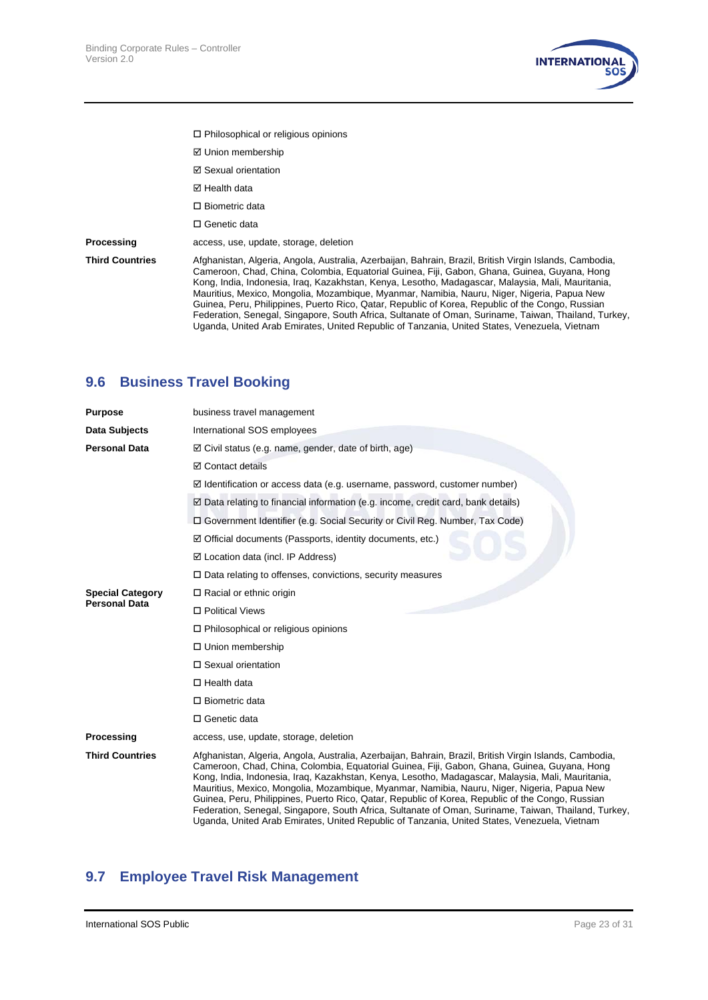

- Philosophical or religious opinions
- Union membership
- Sexual orientation
- **Ø** Health data
- □ Biometric data
- □ Genetic data

**Processing access**, use, update, storage, deletion

**Third Countries** Afghanistan, Algeria, Angola, Australia, Azerbaijan, Bahrain, Brazil, British Virgin Islands, Cambodia, Cameroon, Chad, China, Colombia, Equatorial Guinea, Fiji, Gabon, Ghana, Guinea, Guyana, Hong Kong, India, Indonesia, Iraq, Kazakhstan, Kenya, Lesotho, Madagascar, Malaysia, Mali, Mauritania, Mauritius, Mexico, Mongolia, Mozambique, Myanmar, Namibia, Nauru, Niger, Nigeria, Papua New Guinea, Peru, Philippines, Puerto Rico, Qatar, Republic of Korea, Republic of the Congo, Russian Federation, Senegal, Singapore, South Africa, Sultanate of Oman, Suriname, Taiwan, Thailand, Turkey, Uganda, United Arab Emirates, United Republic of Tanzania, United States, Venezuela, Vietnam

### **9.6 Business Travel Booking**

| <b>Purpose</b>          | business travel management                                                                                                                                                                                                                                                                                                                                                                                                                                                                                                                                                                                                                                                                                              |
|-------------------------|-------------------------------------------------------------------------------------------------------------------------------------------------------------------------------------------------------------------------------------------------------------------------------------------------------------------------------------------------------------------------------------------------------------------------------------------------------------------------------------------------------------------------------------------------------------------------------------------------------------------------------------------------------------------------------------------------------------------------|
| Data Subjects           | International SOS employees                                                                                                                                                                                                                                                                                                                                                                                                                                                                                                                                                                                                                                                                                             |
| <b>Personal Data</b>    | $\boxtimes$ Civil status (e.g. name, gender, date of birth, age)                                                                                                                                                                                                                                                                                                                                                                                                                                                                                                                                                                                                                                                        |
|                         | ☑ Contact details                                                                                                                                                                                                                                                                                                                                                                                                                                                                                                                                                                                                                                                                                                       |
|                         | $\boxtimes$ Identification or access data (e.g. username, password, customer number)                                                                                                                                                                                                                                                                                                                                                                                                                                                                                                                                                                                                                                    |
|                         | ☑ Data relating to financial information (e.g. income, credit card, bank details)                                                                                                                                                                                                                                                                                                                                                                                                                                                                                                                                                                                                                                       |
|                         | □ Government Identifier (e.g. Social Security or Civil Reg. Number, Tax Code)                                                                                                                                                                                                                                                                                                                                                                                                                                                                                                                                                                                                                                           |
|                         | $\boxtimes$ Official documents (Passports, identity documents, etc.)                                                                                                                                                                                                                                                                                                                                                                                                                                                                                                                                                                                                                                                    |
|                         | $\boxtimes$ Location data (incl. IP Address)                                                                                                                                                                                                                                                                                                                                                                                                                                                                                                                                                                                                                                                                            |
|                         | $\Box$ Data relating to offenses, convictions, security measures                                                                                                                                                                                                                                                                                                                                                                                                                                                                                                                                                                                                                                                        |
| <b>Special Category</b> | $\Box$ Racial or ethnic origin                                                                                                                                                                                                                                                                                                                                                                                                                                                                                                                                                                                                                                                                                          |
| <b>Personal Data</b>    | □ Political Views                                                                                                                                                                                                                                                                                                                                                                                                                                                                                                                                                                                                                                                                                                       |
|                         | $\Box$ Philosophical or religious opinions                                                                                                                                                                                                                                                                                                                                                                                                                                                                                                                                                                                                                                                                              |
|                         | □ Union membership                                                                                                                                                                                                                                                                                                                                                                                                                                                                                                                                                                                                                                                                                                      |
|                         | $\Box$ Sexual orientation                                                                                                                                                                                                                                                                                                                                                                                                                                                                                                                                                                                                                                                                                               |
|                         | $\Box$ Health data                                                                                                                                                                                                                                                                                                                                                                                                                                                                                                                                                                                                                                                                                                      |
|                         | $\Box$ Biometric data                                                                                                                                                                                                                                                                                                                                                                                                                                                                                                                                                                                                                                                                                                   |
|                         | □ Genetic data                                                                                                                                                                                                                                                                                                                                                                                                                                                                                                                                                                                                                                                                                                          |
| Processing              | access, use, update, storage, deletion                                                                                                                                                                                                                                                                                                                                                                                                                                                                                                                                                                                                                                                                                  |
| <b>Third Countries</b>  | Afghanistan, Algeria, Angola, Australia, Azerbaijan, Bahrain, Brazil, British Virgin Islands, Cambodia,<br>Cameroon, Chad, China, Colombia, Equatorial Guinea, Fiji, Gabon, Ghana, Guinea, Guyana, Hong<br>Kong, India, Indonesia, Iraq, Kazakhstan, Kenya, Lesotho, Madagascar, Malaysia, Mali, Mauritania,<br>Mauritius, Mexico, Mongolia, Mozambique, Myanmar, Namibia, Nauru, Niger, Nigeria, Papua New<br>Guinea, Peru, Philippines, Puerto Rico, Qatar, Republic of Korea, Republic of the Congo, Russian<br>Federation, Senegal, Singapore, South Africa, Sultanate of Oman, Suriname, Taiwan, Thailand, Turkey,<br>Uganda, United Arab Emirates, United Republic of Tanzania, United States, Venezuela, Vietnam |

#### **9.7 Employee Travel Risk Management**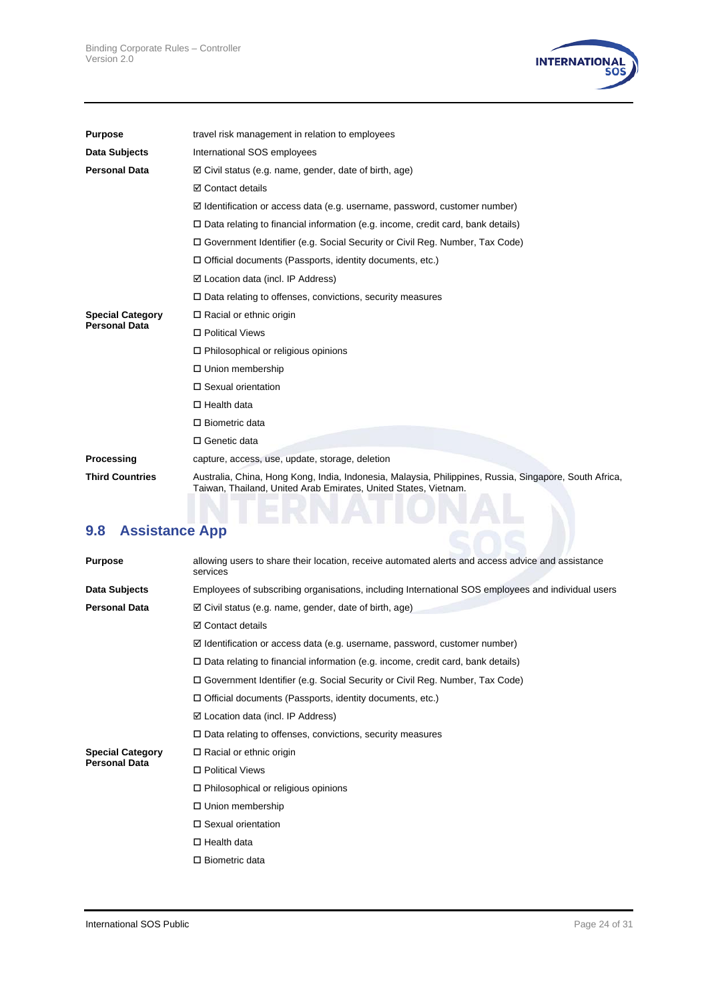

| <b>Purpose</b>          | travel risk management in relation to employees                                                                                                                           |
|-------------------------|---------------------------------------------------------------------------------------------------------------------------------------------------------------------------|
| Data Subjects           | International SOS employees                                                                                                                                               |
| <b>Personal Data</b>    | $\boxtimes$ Civil status (e.g. name, gender, date of birth, age)                                                                                                          |
|                         | ☑ Contact details                                                                                                                                                         |
|                         | $\boxtimes$ Identification or access data (e.g. username, password, customer number)                                                                                      |
|                         | $\Box$ Data relating to financial information (e.g. income, credit card, bank details)                                                                                    |
|                         | □ Government Identifier (e.g. Social Security or Civil Reg. Number, Tax Code)                                                                                             |
|                         | $\Box$ Official documents (Passports, identity documents, etc.)                                                                                                           |
|                         | $\boxtimes$ Location data (incl. IP Address)                                                                                                                              |
|                         | $\Box$ Data relating to offenses, convictions, security measures                                                                                                          |
| <b>Special Category</b> | $\Box$ Racial or ethnic origin                                                                                                                                            |
| <b>Personal Data</b>    | □ Political Views                                                                                                                                                         |
|                         | $\Box$ Philosophical or religious opinions                                                                                                                                |
|                         | □ Union membership                                                                                                                                                        |
|                         | □ Sexual orientation                                                                                                                                                      |
|                         | $\Box$ Health data                                                                                                                                                        |
|                         | $\Box$ Biometric data                                                                                                                                                     |
|                         | □ Genetic data                                                                                                                                                            |
| Processing              | capture, access, use, update, storage, deletion                                                                                                                           |
| <b>Third Countries</b>  | Australia, China, Hong Kong, India, Indonesia, Malaysia, Philippines, Russia, Singapore, South Africa,<br>Taiwan, Thailand, United Arab Emirates, United States, Vietnam. |
|                         |                                                                                                                                                                           |

# **9.8 Assistance App**

| <b>Purpose</b>          | allowing users to share their location, receive automated alerts and access advice and assistance<br>services |
|-------------------------|---------------------------------------------------------------------------------------------------------------|
| Data Subjects           | Employees of subscribing organisations, including International SOS employees and individual users            |
| <b>Personal Data</b>    | $\boxtimes$ Civil status (e.g. name, gender, date of birth, age)                                              |
|                         | <b>⊠</b> Contact details                                                                                      |
|                         | $\boxtimes$ Identification or access data (e.g. username, password, customer number)                          |
|                         | $\Box$ Data relating to financial information (e.g. income, credit card, bank details)                        |
|                         | □ Government Identifier (e.g. Social Security or Civil Reg. Number, Tax Code)                                 |
|                         | $\Box$ Official documents (Passports, identity documents, etc.)                                               |
|                         | $\boxtimes$ Location data (incl. IP Address)                                                                  |
|                         | $\Box$ Data relating to offenses, convictions, security measures                                              |
| <b>Special Category</b> | $\Box$ Racial or ethnic origin                                                                                |
| <b>Personal Data</b>    | □ Political Views                                                                                             |
|                         | $\Box$ Philosophical or religious opinions                                                                    |
|                         | $\Box$ Union membership                                                                                       |
|                         | □ Sexual orientation                                                                                          |
|                         | $\Box$ Health data                                                                                            |
|                         | $\Box$ Biometric data                                                                                         |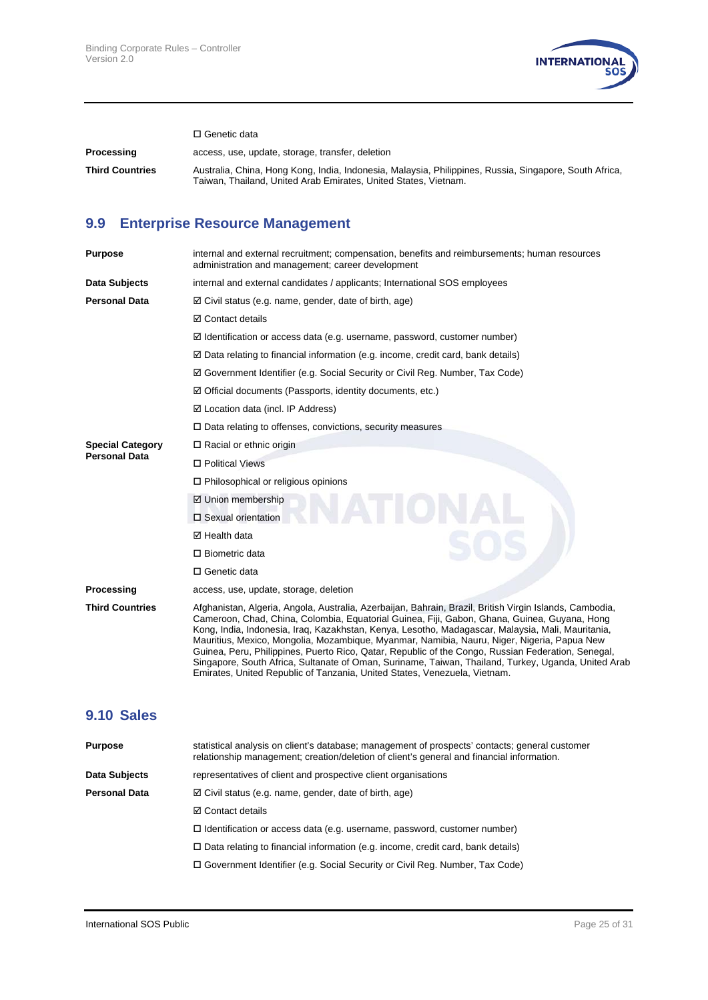

□ Genetic data

**Processing** access, use, update, storage, transfer, deletion **Third Countries** Australia, China, Hong Kong, India, Indonesia, Malaysia, Philippines, Russia, Singapore, South Africa, Taiwan, Thailand, United Arab Emirates, United States, Vietnam.

### **9.9 Enterprise Resource Management**

| <b>Purpose</b>          | internal and external recruitment; compensation, benefits and reimbursements; human resources<br>administration and management; career development                                                                                                                                                                                                                                                                                                                                                                                                                                                                                                                                                    |
|-------------------------|-------------------------------------------------------------------------------------------------------------------------------------------------------------------------------------------------------------------------------------------------------------------------------------------------------------------------------------------------------------------------------------------------------------------------------------------------------------------------------------------------------------------------------------------------------------------------------------------------------------------------------------------------------------------------------------------------------|
| Data Subjects           | internal and external candidates / applicants; International SOS employees                                                                                                                                                                                                                                                                                                                                                                                                                                                                                                                                                                                                                            |
| <b>Personal Data</b>    | $\boxtimes$ Civil status (e.g. name, gender, date of birth, age)                                                                                                                                                                                                                                                                                                                                                                                                                                                                                                                                                                                                                                      |
|                         | ☑ Contact details                                                                                                                                                                                                                                                                                                                                                                                                                                                                                                                                                                                                                                                                                     |
|                         | $\boxtimes$ Identification or access data (e.g. username, password, customer number)                                                                                                                                                                                                                                                                                                                                                                                                                                                                                                                                                                                                                  |
|                         | $\boxtimes$ Data relating to financial information (e.g. income, credit card, bank details)                                                                                                                                                                                                                                                                                                                                                                                                                                                                                                                                                                                                           |
|                         | $\boxtimes$ Government Identifier (e.g. Social Security or Civil Reg. Number, Tax Code)                                                                                                                                                                                                                                                                                                                                                                                                                                                                                                                                                                                                               |
|                         | $\boxtimes$ Official documents (Passports, identity documents, etc.)                                                                                                                                                                                                                                                                                                                                                                                                                                                                                                                                                                                                                                  |
|                         | $\boxtimes$ Location data (incl. IP Address)                                                                                                                                                                                                                                                                                                                                                                                                                                                                                                                                                                                                                                                          |
|                         | $\Box$ Data relating to offenses, convictions, security measures                                                                                                                                                                                                                                                                                                                                                                                                                                                                                                                                                                                                                                      |
| <b>Special Category</b> | $\Box$ Racial or ethnic origin                                                                                                                                                                                                                                                                                                                                                                                                                                                                                                                                                                                                                                                                        |
| <b>Personal Data</b>    | □ Political Views                                                                                                                                                                                                                                                                                                                                                                                                                                                                                                                                                                                                                                                                                     |
|                         | $\Box$ Philosophical or religious opinions                                                                                                                                                                                                                                                                                                                                                                                                                                                                                                                                                                                                                                                            |
|                         | ☑ Union membership                                                                                                                                                                                                                                                                                                                                                                                                                                                                                                                                                                                                                                                                                    |
|                         | □ Sexual orientation                                                                                                                                                                                                                                                                                                                                                                                                                                                                                                                                                                                                                                                                                  |
|                         | $\boxtimes$ Health data                                                                                                                                                                                                                                                                                                                                                                                                                                                                                                                                                                                                                                                                               |
|                         | $\Box$ Biometric data                                                                                                                                                                                                                                                                                                                                                                                                                                                                                                                                                                                                                                                                                 |
|                         | □ Genetic data                                                                                                                                                                                                                                                                                                                                                                                                                                                                                                                                                                                                                                                                                        |
| Processing              | access, use, update, storage, deletion                                                                                                                                                                                                                                                                                                                                                                                                                                                                                                                                                                                                                                                                |
| <b>Third Countries</b>  | Afghanistan, Algeria, Angola, Australia, Azerbaijan, Bahrain, Brazil, British Virgin Islands, Cambodia,<br>Cameroon, Chad, China, Colombia, Equatorial Guinea, Fiji, Gabon, Ghana, Guinea, Guyana, Hong<br>Kong, India, Indonesia, Irag, Kazakhstan, Kenya, Lesotho, Madagascar, Malaysia, Mali, Mauritania,<br>Mauritius, Mexico, Mongolia, Mozambique, Myanmar, Namibia, Nauru, Niger, Nigeria, Papua New<br>Guinea, Peru, Philippines, Puerto Rico, Qatar, Republic of the Congo, Russian Federation, Senegal,<br>Singapore, South Africa, Sultanate of Oman, Suriname, Taiwan, Thailand, Turkey, Uganda, United Arab<br>Emirates, United Republic of Tanzania, United States, Venezuela, Vietnam. |

#### **9.10 Sales**

| <b>Purpose</b>       | statistical analysis on client's database; management of prospects' contacts; general customer<br>relationship management; creation/deletion of client's general and financial information. |
|----------------------|---------------------------------------------------------------------------------------------------------------------------------------------------------------------------------------------|
| Data Subjects        | representatives of client and prospective client organisations                                                                                                                              |
| <b>Personal Data</b> | $\boxtimes$ Civil status (e.g. name, gender, date of birth, age)                                                                                                                            |
|                      | <b>☑</b> Contact details                                                                                                                                                                    |
|                      | $\Box$ Identification or access data (e.g. username, password, customer number)                                                                                                             |
|                      | $\Box$ Data relating to financial information (e.g. income, credit card, bank details)                                                                                                      |
|                      | $\Box$ Government Identifier (e.g. Social Security or Civil Reg. Number, Tax Code)                                                                                                          |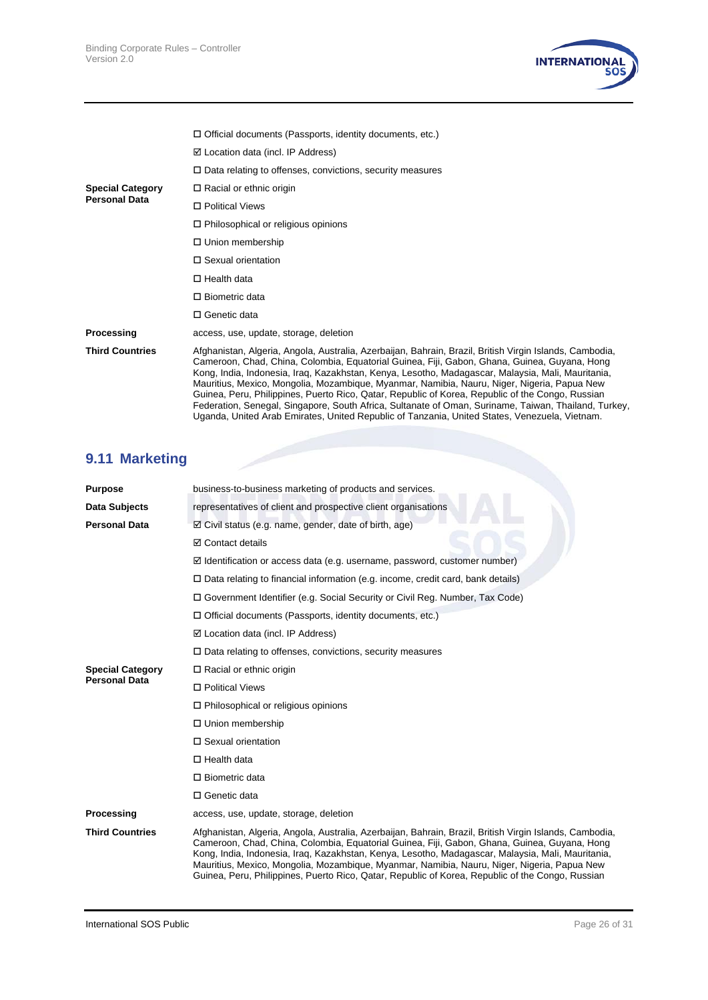

|                         | $\Box$ Official documents (Passports, identity documents, etc.)                                                                                                                                                                                                                                                                                                                                                                                                                                                                                                                                                                                                                                                          |
|-------------------------|--------------------------------------------------------------------------------------------------------------------------------------------------------------------------------------------------------------------------------------------------------------------------------------------------------------------------------------------------------------------------------------------------------------------------------------------------------------------------------------------------------------------------------------------------------------------------------------------------------------------------------------------------------------------------------------------------------------------------|
|                         | $\boxtimes$ Location data (incl. IP Address)                                                                                                                                                                                                                                                                                                                                                                                                                                                                                                                                                                                                                                                                             |
|                         | $\Box$ Data relating to offenses, convictions, security measures                                                                                                                                                                                                                                                                                                                                                                                                                                                                                                                                                                                                                                                         |
| <b>Special Category</b> | $\Box$ Racial or ethnic origin                                                                                                                                                                                                                                                                                                                                                                                                                                                                                                                                                                                                                                                                                           |
| <b>Personal Data</b>    | □ Political Views                                                                                                                                                                                                                                                                                                                                                                                                                                                                                                                                                                                                                                                                                                        |
|                         | $\Box$ Philosophical or religious opinions                                                                                                                                                                                                                                                                                                                                                                                                                                                                                                                                                                                                                                                                               |
|                         | □ Union membership                                                                                                                                                                                                                                                                                                                                                                                                                                                                                                                                                                                                                                                                                                       |
|                         | $\Box$ Sexual orientation                                                                                                                                                                                                                                                                                                                                                                                                                                                                                                                                                                                                                                                                                                |
|                         | $\Box$ Health data                                                                                                                                                                                                                                                                                                                                                                                                                                                                                                                                                                                                                                                                                                       |
|                         | $\Box$ Biometric data                                                                                                                                                                                                                                                                                                                                                                                                                                                                                                                                                                                                                                                                                                    |
|                         | $\Box$ Genetic data                                                                                                                                                                                                                                                                                                                                                                                                                                                                                                                                                                                                                                                                                                      |
| Processing              | access, use, update, storage, deletion                                                                                                                                                                                                                                                                                                                                                                                                                                                                                                                                                                                                                                                                                   |
| <b>Third Countries</b>  | Afghanistan, Algeria, Angola, Australia, Azerbaijan, Bahrain, Brazil, British Virgin Islands, Cambodia,<br>Cameroon, Chad, China, Colombia, Equatorial Guinea, Fiji, Gabon, Ghana, Guinea, Guyana, Hong<br>Kong, India, Indonesia, Irag, Kazakhstan, Kenya, Lesotho, Madagascar, Malaysia, Mali, Mauritania,<br>Mauritius, Mexico, Mongolia, Mozambique, Myanmar, Namibia, Nauru, Niger, Nigeria, Papua New<br>Guinea, Peru, Philippines, Puerto Rico, Qatar, Republic of Korea, Republic of the Congo, Russian<br>Federation, Senegal, Singapore, South Africa, Sultanate of Oman, Suriname, Taiwan, Thailand, Turkey,<br>Uganda, United Arab Emirates, United Republic of Tanzania, United States, Venezuela, Vietnam. |

# **9.11 Marketing**

| <b>Purpose</b>          | business-to-business marketing of products and services.                                                                                                                                                                                                                                                                                                                                                                                                                                                        |  |
|-------------------------|-----------------------------------------------------------------------------------------------------------------------------------------------------------------------------------------------------------------------------------------------------------------------------------------------------------------------------------------------------------------------------------------------------------------------------------------------------------------------------------------------------------------|--|
| Data Subjects           | representatives of client and prospective client organisations                                                                                                                                                                                                                                                                                                                                                                                                                                                  |  |
| Personal Data           | $\boxtimes$ Civil status (e.g. name, gender, date of birth, age)                                                                                                                                                                                                                                                                                                                                                                                                                                                |  |
|                         | <b>☑</b> Contact details                                                                                                                                                                                                                                                                                                                                                                                                                                                                                        |  |
|                         | $\boxtimes$ Identification or access data (e.g. username, password, customer number)                                                                                                                                                                                                                                                                                                                                                                                                                            |  |
|                         | $\Box$ Data relating to financial information (e.g. income, credit card, bank details)                                                                                                                                                                                                                                                                                                                                                                                                                          |  |
|                         | □ Government Identifier (e.g. Social Security or Civil Reg. Number, Tax Code)                                                                                                                                                                                                                                                                                                                                                                                                                                   |  |
|                         | $\Box$ Official documents (Passports, identity documents, etc.)                                                                                                                                                                                                                                                                                                                                                                                                                                                 |  |
|                         | $\boxtimes$ Location data (incl. IP Address)                                                                                                                                                                                                                                                                                                                                                                                                                                                                    |  |
|                         | $\Box$ Data relating to offenses, convictions, security measures                                                                                                                                                                                                                                                                                                                                                                                                                                                |  |
| <b>Special Category</b> | $\Box$ Racial or ethnic origin                                                                                                                                                                                                                                                                                                                                                                                                                                                                                  |  |
| Personal Data           | □ Political Views                                                                                                                                                                                                                                                                                                                                                                                                                                                                                               |  |
|                         | $\Box$ Philosophical or religious opinions                                                                                                                                                                                                                                                                                                                                                                                                                                                                      |  |
|                         | □ Union membership                                                                                                                                                                                                                                                                                                                                                                                                                                                                                              |  |
|                         | □ Sexual orientation                                                                                                                                                                                                                                                                                                                                                                                                                                                                                            |  |
|                         | $\Box$ Health data                                                                                                                                                                                                                                                                                                                                                                                                                                                                                              |  |
|                         | $\Box$ Biometric data                                                                                                                                                                                                                                                                                                                                                                                                                                                                                           |  |
|                         | $\Box$ Genetic data                                                                                                                                                                                                                                                                                                                                                                                                                                                                                             |  |
| Processing              | access, use, update, storage, deletion                                                                                                                                                                                                                                                                                                                                                                                                                                                                          |  |
| <b>Third Countries</b>  | Afghanistan, Algeria, Angola, Australia, Azerbaijan, Bahrain, Brazil, British Virgin Islands, Cambodia,<br>Cameroon, Chad, China, Colombia, Equatorial Guinea, Fiji, Gabon, Ghana, Guinea, Guyana, Hong<br>Kong, India, Indonesia, Iraq, Kazakhstan, Kenya, Lesotho, Madagascar, Malaysia, Mali, Mauritania,<br>Mauritius, Mexico, Mongolia, Mozambique, Myanmar, Namibia, Nauru, Niger, Nigeria, Papua New<br>Guinea, Peru, Philippines, Puerto Rico, Qatar, Republic of Korea, Republic of the Congo, Russian |  |
|                         |                                                                                                                                                                                                                                                                                                                                                                                                                                                                                                                 |  |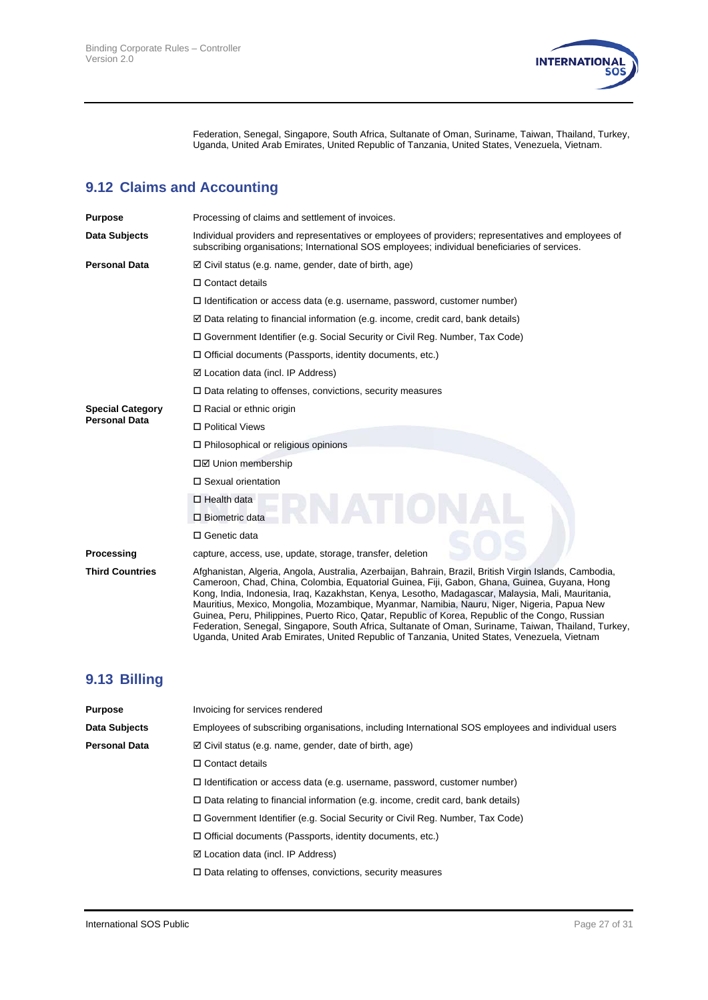

Federation, Senegal, Singapore, South Africa, Sultanate of Oman, Suriname, Taiwan, Thailand, Turkey, Uganda, United Arab Emirates, United Republic of Tanzania, United States, Venezuela, Vietnam.

# **9.12 Claims and Accounting**

| <b>Purpose</b>          | Processing of claims and settlement of invoices.                                                                                                                                                                                                                                                                                                                                                                                                                                                                                                                                                                                                                                                                        |  |
|-------------------------|-------------------------------------------------------------------------------------------------------------------------------------------------------------------------------------------------------------------------------------------------------------------------------------------------------------------------------------------------------------------------------------------------------------------------------------------------------------------------------------------------------------------------------------------------------------------------------------------------------------------------------------------------------------------------------------------------------------------------|--|
| Data Subjects           | Individual providers and representatives or employees of providers; representatives and employees of<br>subscribing organisations; International SOS employees; individual beneficiaries of services.                                                                                                                                                                                                                                                                                                                                                                                                                                                                                                                   |  |
| <b>Personal Data</b>    | $\boxtimes$ Civil status (e.g. name, gender, date of birth, age)                                                                                                                                                                                                                                                                                                                                                                                                                                                                                                                                                                                                                                                        |  |
|                         | $\Box$ Contact details                                                                                                                                                                                                                                                                                                                                                                                                                                                                                                                                                                                                                                                                                                  |  |
|                         | $\Box$ Identification or access data (e.g. username, password, customer number)                                                                                                                                                                                                                                                                                                                                                                                                                                                                                                                                                                                                                                         |  |
|                         | $\boxtimes$ Data relating to financial information (e.g. income, credit card, bank details)                                                                                                                                                                                                                                                                                                                                                                                                                                                                                                                                                                                                                             |  |
|                         | □ Government Identifier (e.g. Social Security or Civil Reg. Number, Tax Code)                                                                                                                                                                                                                                                                                                                                                                                                                                                                                                                                                                                                                                           |  |
|                         | $\Box$ Official documents (Passports, identity documents, etc.)                                                                                                                                                                                                                                                                                                                                                                                                                                                                                                                                                                                                                                                         |  |
|                         | $\boxtimes$ Location data (incl. IP Address)                                                                                                                                                                                                                                                                                                                                                                                                                                                                                                                                                                                                                                                                            |  |
|                         | $\Box$ Data relating to offenses, convictions, security measures                                                                                                                                                                                                                                                                                                                                                                                                                                                                                                                                                                                                                                                        |  |
| <b>Special Category</b> | $\Box$ Racial or ethnic origin                                                                                                                                                                                                                                                                                                                                                                                                                                                                                                                                                                                                                                                                                          |  |
| <b>Personal Data</b>    | □ Political Views                                                                                                                                                                                                                                                                                                                                                                                                                                                                                                                                                                                                                                                                                                       |  |
|                         | $\Box$ Philosophical or religious opinions                                                                                                                                                                                                                                                                                                                                                                                                                                                                                                                                                                                                                                                                              |  |
|                         | □Ø Union membership                                                                                                                                                                                                                                                                                                                                                                                                                                                                                                                                                                                                                                                                                                     |  |
|                         | □ Sexual orientation                                                                                                                                                                                                                                                                                                                                                                                                                                                                                                                                                                                                                                                                                                    |  |
|                         | $\Box$ Health data                                                                                                                                                                                                                                                                                                                                                                                                                                                                                                                                                                                                                                                                                                      |  |
|                         | $\square$ Biometric data                                                                                                                                                                                                                                                                                                                                                                                                                                                                                                                                                                                                                                                                                                |  |
|                         | □ Genetic data                                                                                                                                                                                                                                                                                                                                                                                                                                                                                                                                                                                                                                                                                                          |  |
| Processing              | capture, access, use, update, storage, transfer, deletion                                                                                                                                                                                                                                                                                                                                                                                                                                                                                                                                                                                                                                                               |  |
| <b>Third Countries</b>  | Afghanistan, Algeria, Angola, Australia, Azerbaijan, Bahrain, Brazil, British Virgin Islands, Cambodia,<br>Cameroon, Chad, China, Colombia, Equatorial Guinea, Fiji, Gabon, Ghana, Guinea, Guyana, Hong<br>Kong, India, Indonesia, Irag, Kazakhstan, Kenya, Lesotho, Madagascar, Malaysia, Mali, Mauritania,<br>Mauritius, Mexico, Mongolia, Mozambique, Myanmar, Namibia, Nauru, Niger, Nigeria, Papua New<br>Guinea, Peru, Philippines, Puerto Rico, Qatar, Republic of Korea, Republic of the Congo, Russian<br>Federation, Senegal, Singapore, South Africa, Sultanate of Oman, Suriname, Taiwan, Thailand, Turkey,<br>Uganda, United Arab Emirates, United Republic of Tanzania, United States, Venezuela, Vietnam |  |

### **9.13 Billing**

| Invoicing for services rendered                                                                    |  |
|----------------------------------------------------------------------------------------------------|--|
| Employees of subscribing organisations, including International SOS employees and individual users |  |
| $\boxtimes$ Civil status (e.g. name, gender, date of birth, age)                                   |  |
| $\Box$ Contact details                                                                             |  |
| $\Box$ Identification or access data (e.g. username, password, customer number)                    |  |
| $\Box$ Data relating to financial information (e.g. income, credit card, bank details)             |  |
| □ Government Identifier (e.g. Social Security or Civil Reg. Number, Tax Code)                      |  |
| $\Box$ Official documents (Passports, identity documents, etc.)                                    |  |
| $\boxtimes$ Location data (incl. IP Address)                                                       |  |
| $\Box$ Data relating to offenses, convictions, security measures                                   |  |
|                                                                                                    |  |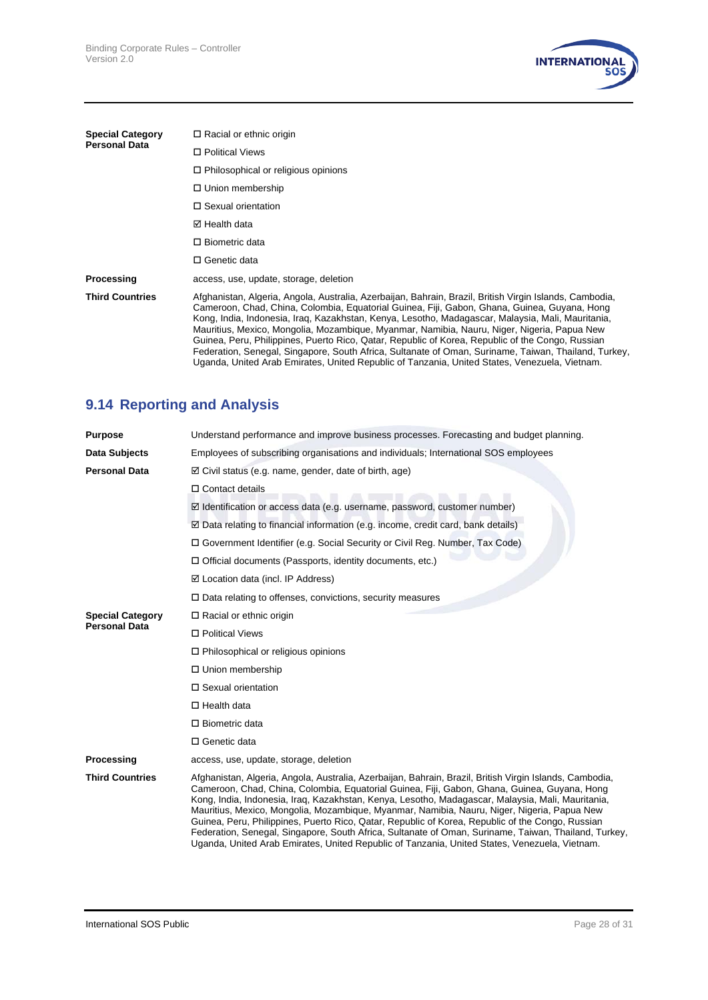

| <b>Special Category</b> | $\Box$ Racial or ethnic origin                                                                                                                                                                                                                                                                                                                                                                                                                                                                                                                                                                                                                                                                                           |
|-------------------------|--------------------------------------------------------------------------------------------------------------------------------------------------------------------------------------------------------------------------------------------------------------------------------------------------------------------------------------------------------------------------------------------------------------------------------------------------------------------------------------------------------------------------------------------------------------------------------------------------------------------------------------------------------------------------------------------------------------------------|
| <b>Personal Data</b>    | □ Political Views                                                                                                                                                                                                                                                                                                                                                                                                                                                                                                                                                                                                                                                                                                        |
|                         | $\Box$ Philosophical or religious opinions                                                                                                                                                                                                                                                                                                                                                                                                                                                                                                                                                                                                                                                                               |
|                         | $\Box$ Union membership                                                                                                                                                                                                                                                                                                                                                                                                                                                                                                                                                                                                                                                                                                  |
|                         | $\Box$ Sexual orientation                                                                                                                                                                                                                                                                                                                                                                                                                                                                                                                                                                                                                                                                                                |
|                         | ⊠ Health data                                                                                                                                                                                                                                                                                                                                                                                                                                                                                                                                                                                                                                                                                                            |
|                         | $\Box$ Biometric data                                                                                                                                                                                                                                                                                                                                                                                                                                                                                                                                                                                                                                                                                                    |
|                         | $\Box$ Genetic data                                                                                                                                                                                                                                                                                                                                                                                                                                                                                                                                                                                                                                                                                                      |
| Processing              | access, use, update, storage, deletion                                                                                                                                                                                                                                                                                                                                                                                                                                                                                                                                                                                                                                                                                   |
| <b>Third Countries</b>  | Afghanistan, Algeria, Angola, Australia, Azerbaijan, Bahrain, Brazil, British Virgin Islands, Cambodia,<br>Cameroon, Chad, China, Colombia, Equatorial Guinea, Fiji, Gabon, Ghana, Guinea, Guyana, Hong<br>Kong, India, Indonesia, Irag, Kazakhstan, Kenya, Lesotho, Madagascar, Malaysia, Mali, Mauritania,<br>Mauritius, Mexico, Mongolia, Mozambique, Myanmar, Namibia, Nauru, Niger, Nigeria, Papua New<br>Guinea, Peru, Philippines, Puerto Rico, Qatar, Republic of Korea, Republic of the Congo, Russian<br>Federation, Senegal, Singapore, South Africa, Sultanate of Oman, Suriname, Taiwan, Thailand, Turkey,<br>Uganda, United Arab Emirates, United Republic of Tanzania, United States, Venezuela, Vietnam. |

# **9.14 Reporting and Analysis**

| <b>Purpose</b>                                  | Understand performance and improve business processes. Forecasting and budget planning.                                                                                                                                                                                                                                                                                                                                                                                                                                                                                                                                                                                                                                  |  |
|-------------------------------------------------|--------------------------------------------------------------------------------------------------------------------------------------------------------------------------------------------------------------------------------------------------------------------------------------------------------------------------------------------------------------------------------------------------------------------------------------------------------------------------------------------------------------------------------------------------------------------------------------------------------------------------------------------------------------------------------------------------------------------------|--|
| Data Subjects                                   | Employees of subscribing organisations and individuals; International SOS employees                                                                                                                                                                                                                                                                                                                                                                                                                                                                                                                                                                                                                                      |  |
| <b>Personal Data</b>                            | $\boxtimes$ Civil status (e.g. name, gender, date of birth, age)                                                                                                                                                                                                                                                                                                                                                                                                                                                                                                                                                                                                                                                         |  |
|                                                 | $\Box$ Contact details                                                                                                                                                                                                                                                                                                                                                                                                                                                                                                                                                                                                                                                                                                   |  |
|                                                 | $\boxtimes$ Identification or access data (e.g. username, password, customer number)                                                                                                                                                                                                                                                                                                                                                                                                                                                                                                                                                                                                                                     |  |
|                                                 | $\boxtimes$ Data relating to financial information (e.g. income, credit card, bank details)                                                                                                                                                                                                                                                                                                                                                                                                                                                                                                                                                                                                                              |  |
|                                                 | □ Government Identifier (e.g. Social Security or Civil Reg. Number, Tax Code)                                                                                                                                                                                                                                                                                                                                                                                                                                                                                                                                                                                                                                            |  |
|                                                 | $\Box$ Official documents (Passports, identity documents, etc.)                                                                                                                                                                                                                                                                                                                                                                                                                                                                                                                                                                                                                                                          |  |
|                                                 | $\boxtimes$ Location data (incl. IP Address)                                                                                                                                                                                                                                                                                                                                                                                                                                                                                                                                                                                                                                                                             |  |
|                                                 | $\Box$ Data relating to offenses, convictions, security measures                                                                                                                                                                                                                                                                                                                                                                                                                                                                                                                                                                                                                                                         |  |
| <b>Special Category</b><br><b>Personal Data</b> | □ Racial or ethnic origin                                                                                                                                                                                                                                                                                                                                                                                                                                                                                                                                                                                                                                                                                                |  |
|                                                 | □ Political Views                                                                                                                                                                                                                                                                                                                                                                                                                                                                                                                                                                                                                                                                                                        |  |
|                                                 | $\Box$ Philosophical or religious opinions                                                                                                                                                                                                                                                                                                                                                                                                                                                                                                                                                                                                                                                                               |  |
|                                                 | $\Box$ Union membership                                                                                                                                                                                                                                                                                                                                                                                                                                                                                                                                                                                                                                                                                                  |  |
|                                                 | □ Sexual orientation                                                                                                                                                                                                                                                                                                                                                                                                                                                                                                                                                                                                                                                                                                     |  |
|                                                 | $\Box$ Health data                                                                                                                                                                                                                                                                                                                                                                                                                                                                                                                                                                                                                                                                                                       |  |
|                                                 | □ Biometric data                                                                                                                                                                                                                                                                                                                                                                                                                                                                                                                                                                                                                                                                                                         |  |
|                                                 | □ Genetic data                                                                                                                                                                                                                                                                                                                                                                                                                                                                                                                                                                                                                                                                                                           |  |
| Processing                                      | access, use, update, storage, deletion                                                                                                                                                                                                                                                                                                                                                                                                                                                                                                                                                                                                                                                                                   |  |
| <b>Third Countries</b>                          | Afghanistan, Algeria, Angola, Australia, Azerbaijan, Bahrain, Brazil, British Virgin Islands, Cambodia,<br>Cameroon, Chad, China, Colombia, Equatorial Guinea, Fiji, Gabon, Ghana, Guinea, Guyana, Hong<br>Kong, India, Indonesia, Iraq, Kazakhstan, Kenya, Lesotho, Madagascar, Malaysia, Mali, Mauritania,<br>Mauritius, Mexico, Mongolia, Mozambique, Myanmar, Namibia, Nauru, Niger, Nigeria, Papua New<br>Guinea, Peru, Philippines, Puerto Rico, Qatar, Republic of Korea, Republic of the Congo, Russian<br>Federation, Senegal, Singapore, South Africa, Sultanate of Oman, Suriname, Taiwan, Thailand, Turkey,<br>Uganda, United Arab Emirates, United Republic of Tanzania, United States, Venezuela, Vietnam. |  |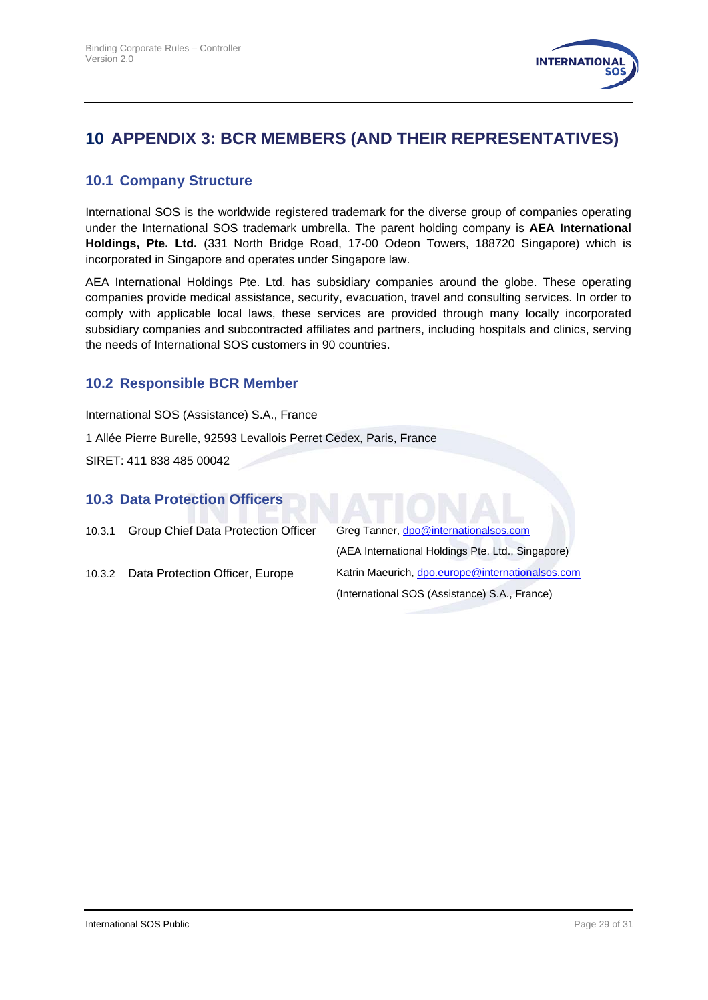

# <span id="page-28-0"></span>**10 APPENDIX 3: BCR MEMBERS (AND THEIR REPRESENTATIVES)**

#### **10.1 Company Structure**

International SOS is the worldwide registered trademark for the diverse group of companies operating under the International SOS trademark umbrella. The parent holding company is **AEA International Holdings, Pte. Ltd.** (331 North Bridge Road, 17-00 Odeon Towers, 188720 Singapore) which is incorporated in Singapore and operates under Singapore law.

AEA International Holdings Pte. Ltd. has subsidiary companies around the globe. These operating companies provide medical assistance, security, evacuation, travel and consulting services. In order to comply with applicable local laws, these services are provided through many locally incorporated subsidiary companies and subcontracted affiliates and partners, including hospitals and clinics, serving the needs of International SOS customers in 90 countries.

#### **10.2 Responsible BCR Member**

International SOS (Assistance) S.A., France

1 Allée Pierre Burelle, 92593 Levallois Perret Cedex, Paris, France

SIRET: 411 838 485 00042

# 10.3 Data Protection Officers<br> **10.3 Data Protection Officers**<br> **10.3 Data**

<span id="page-28-1"></span>

| 10.3.1 | Group Chief Data Protection Officer | Greg Tanner, dpo@internationalsos.com             |  |
|--------|-------------------------------------|---------------------------------------------------|--|
|        |                                     | (AEA International Holdings Pte. Ltd., Singapore) |  |
| 10.3.2 | Data Protection Officer, Europe     | Katrin Maeurich, dpo.europe@internationalsos.com  |  |
|        |                                     | (International SOS (Assistance) S.A., France)     |  |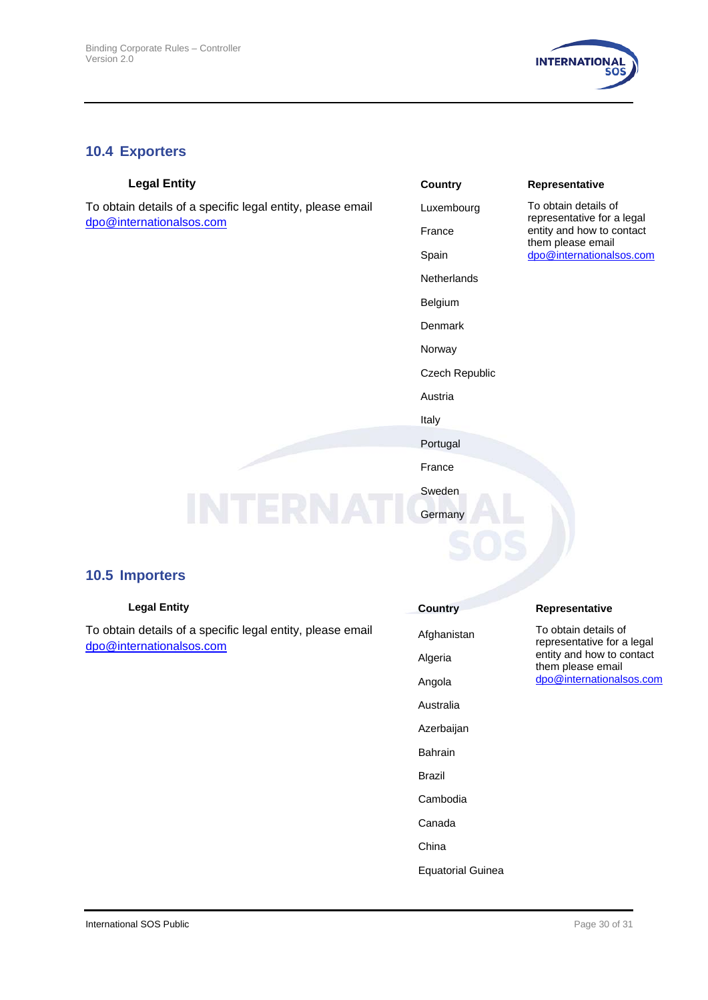

#### **10.4 Exporters**

To obtain details of a specific legal entity, please email [dpo@internationalsos.com](mailto:dpo@internationalsos.com)

| <b>Legal Entity</b>                                 | <b>Country</b> | Representative                               |
|-----------------------------------------------------|----------------|----------------------------------------------|
| in details of a specific legal entity, please email | Luxembourg     | To obtain details of<br>representative for a |
| ternationalsos.com                                  | France         | entity and how to co                         |
|                                                     | Spain          | them please email<br>dpo@internationals      |
|                                                     | Netherlands    |                                              |
|                                                     | Belgium        |                                              |
|                                                     | Denmark        |                                              |
|                                                     | Norway         |                                              |
|                                                     | Czech Republic |                                              |
|                                                     | Austria        |                                              |
|                                                     | Italy          |                                              |
|                                                     | Portugal       |                                              |
|                                                     | France         |                                              |
|                                                     | Sweden         |                                              |
|                                                     | Germany        |                                              |

entative for a legal and how to contact blease email internationalsos.com

#### **10.5 Importers**

To obtain details of a specific legal entity, please email [dpo@internationalsos.com](mailto:dpo@internationalsos.com)

# **Country Country Representative** Afghanistan To obtain details of representative for a legal entity and how to contact them please email [dpo@internationalsos.com](mailto:dpo@internationalsos.com) Algeria Angola Australia Azerbaijan Bahrain Brazil Cambodia Canada China

Equatorial Guinea